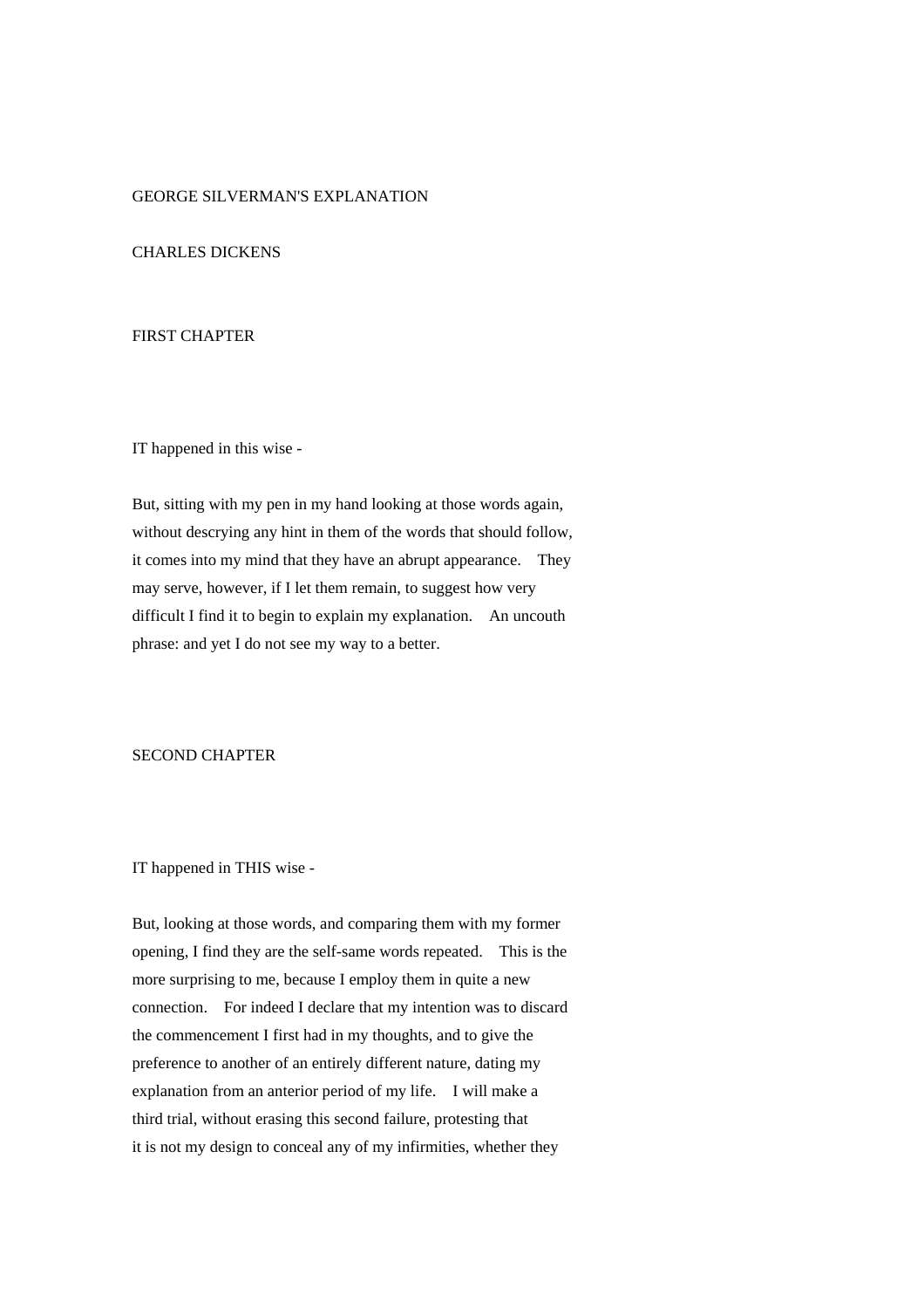# GEORGE SILVERMAN'S EXPLANATION

# CHARLES DICKENS

# FIRST CHAPTER

IT happened in this wise -

But, sitting with my pen in my hand looking at those words again, without descrying any hint in them of the words that should follow, it comes into my mind that they have an abrupt appearance. They may serve, however, if I let them remain, to suggest how very difficult I find it to begin to explain my explanation. An uncouth phrase: and yet I do not see my way to a better.

# SECOND CHAPTER

#### IT happened in THIS wise -

But, looking at those words, and comparing them with my former opening, I find they are the self-same words repeated. This is the more surprising to me, because I employ them in quite a new connection. For indeed I declare that my intention was to discard the commencement I first had in my thoughts, and to give the preference to another of an entirely different nature, dating my explanation from an anterior period of my life. I will make a third trial, without erasing this second failure, protesting that it is not my design to conceal any of my infirmities, whether they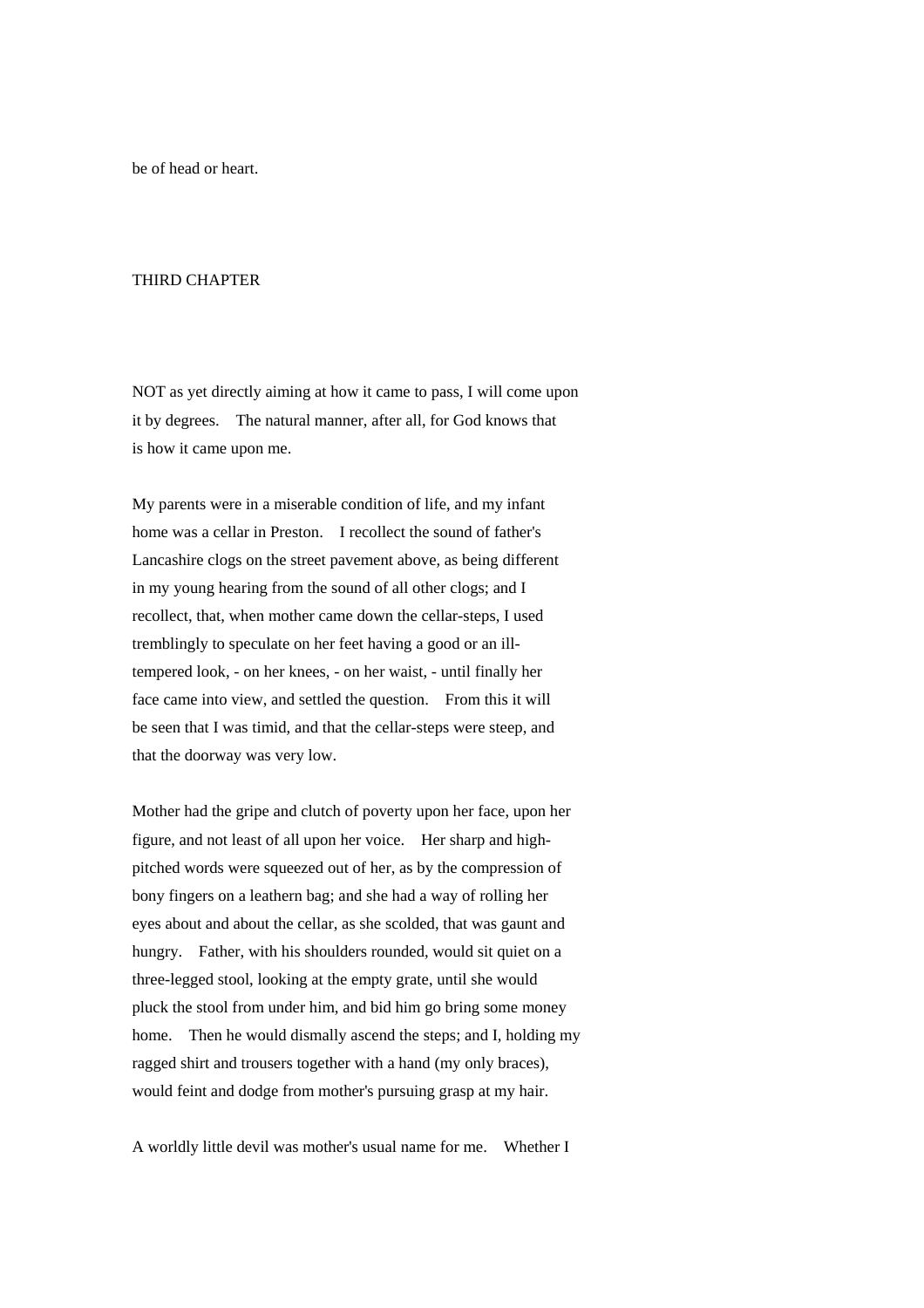be of head or heart.

### THIRD CHAPTER

NOT as yet directly aiming at how it came to pass, I will come upon it by degrees. The natural manner, after all, for God knows that is how it came upon me.

My parents were in a miserable condition of life, and my infant home was a cellar in Preston. I recollect the sound of father's Lancashire clogs on the street pavement above, as being different in my young hearing from the sound of all other clogs; and I recollect, that, when mother came down the cellar-steps, I used tremblingly to speculate on her feet having a good or an illtempered look, - on her knees, - on her waist, - until finally her face came into view, and settled the question. From this it will be seen that I was timid, and that the cellar-steps were steep, and that the doorway was very low.

Mother had the gripe and clutch of poverty upon her face, upon her figure, and not least of all upon her voice. Her sharp and highpitched words were squeezed out of her, as by the compression of bony fingers on a leathern bag; and she had a way of rolling her eyes about and about the cellar, as she scolded, that was gaunt and hungry. Father, with his shoulders rounded, would sit quiet on a three-legged stool, looking at the empty grate, until she would pluck the stool from under him, and bid him go bring some money home. Then he would dismally ascend the steps; and I, holding my ragged shirt and trousers together with a hand (my only braces), would feint and dodge from mother's pursuing grasp at my hair.

A worldly little devil was mother's usual name for me. Whether I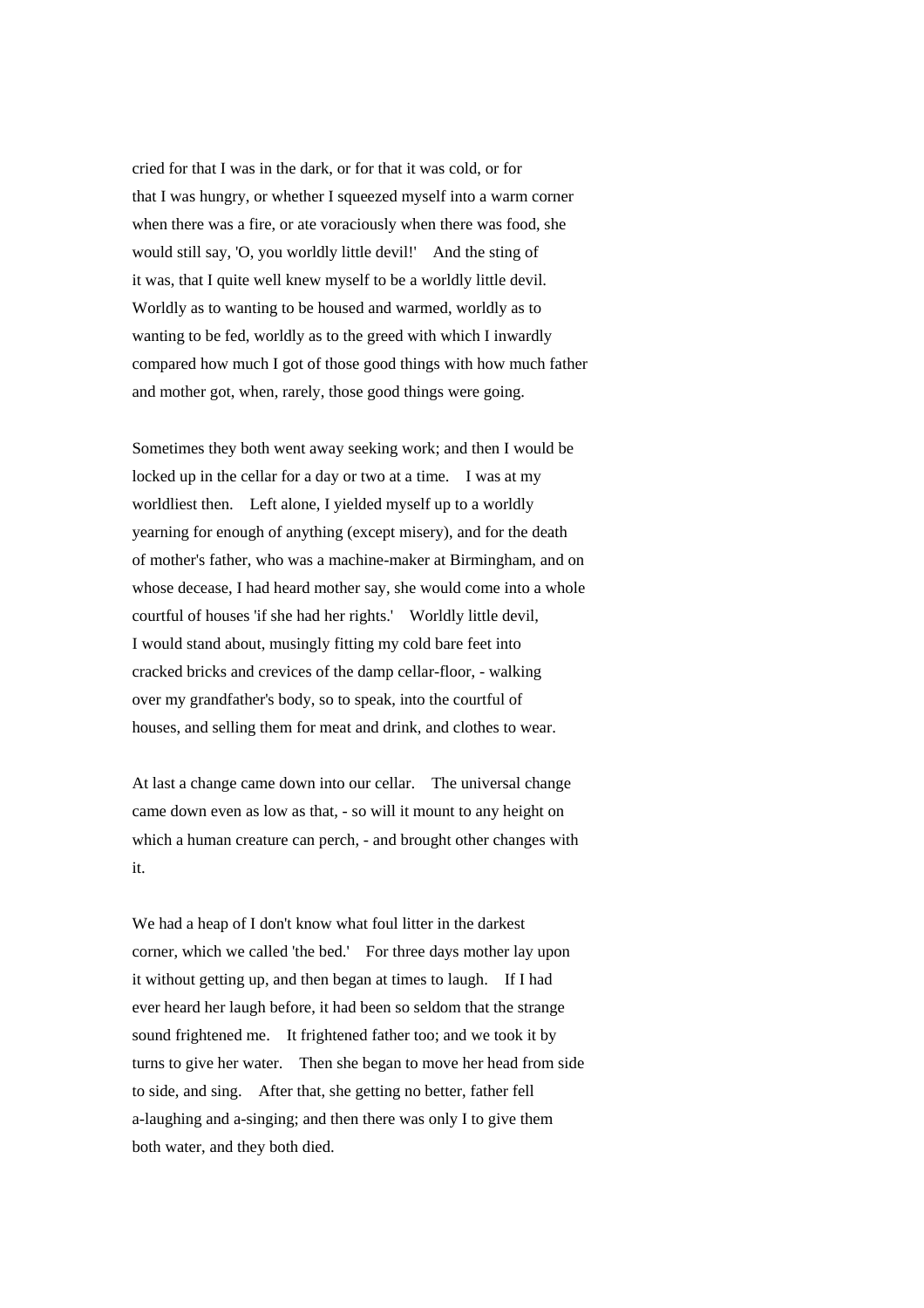cried for that I was in the dark, or for that it was cold, or for that I was hungry, or whether I squeezed myself into a warm corner when there was a fire, or ate voraciously when there was food, she would still say, 'O, you worldly little devil!' And the sting of it was, that I quite well knew myself to be a worldly little devil. Worldly as to wanting to be housed and warmed, worldly as to wanting to be fed, worldly as to the greed with which I inwardly compared how much I got of those good things with how much father and mother got, when, rarely, those good things were going.

Sometimes they both went away seeking work; and then I would be locked up in the cellar for a day or two at a time. I was at my worldliest then. Left alone, I yielded myself up to a worldly yearning for enough of anything (except misery), and for the death of mother's father, who was a machine-maker at Birmingham, and on whose decease, I had heard mother say, she would come into a whole courtful of houses 'if she had her rights.' Worldly little devil, I would stand about, musingly fitting my cold bare feet into cracked bricks and crevices of the damp cellar-floor, - walking over my grandfather's body, so to speak, into the courtful of houses, and selling them for meat and drink, and clothes to wear.

At last a change came down into our cellar. The universal change came down even as low as that, - so will it mount to any height on which a human creature can perch, - and brought other changes with it.

We had a heap of I don't know what foul litter in the darkest corner, which we called 'the bed.' For three days mother lay upon it without getting up, and then began at times to laugh. If I had ever heard her laugh before, it had been so seldom that the strange sound frightened me. It frightened father too; and we took it by turns to give her water. Then she began to move her head from side to side, and sing. After that, she getting no better, father fell a-laughing and a-singing; and then there was only I to give them both water, and they both died.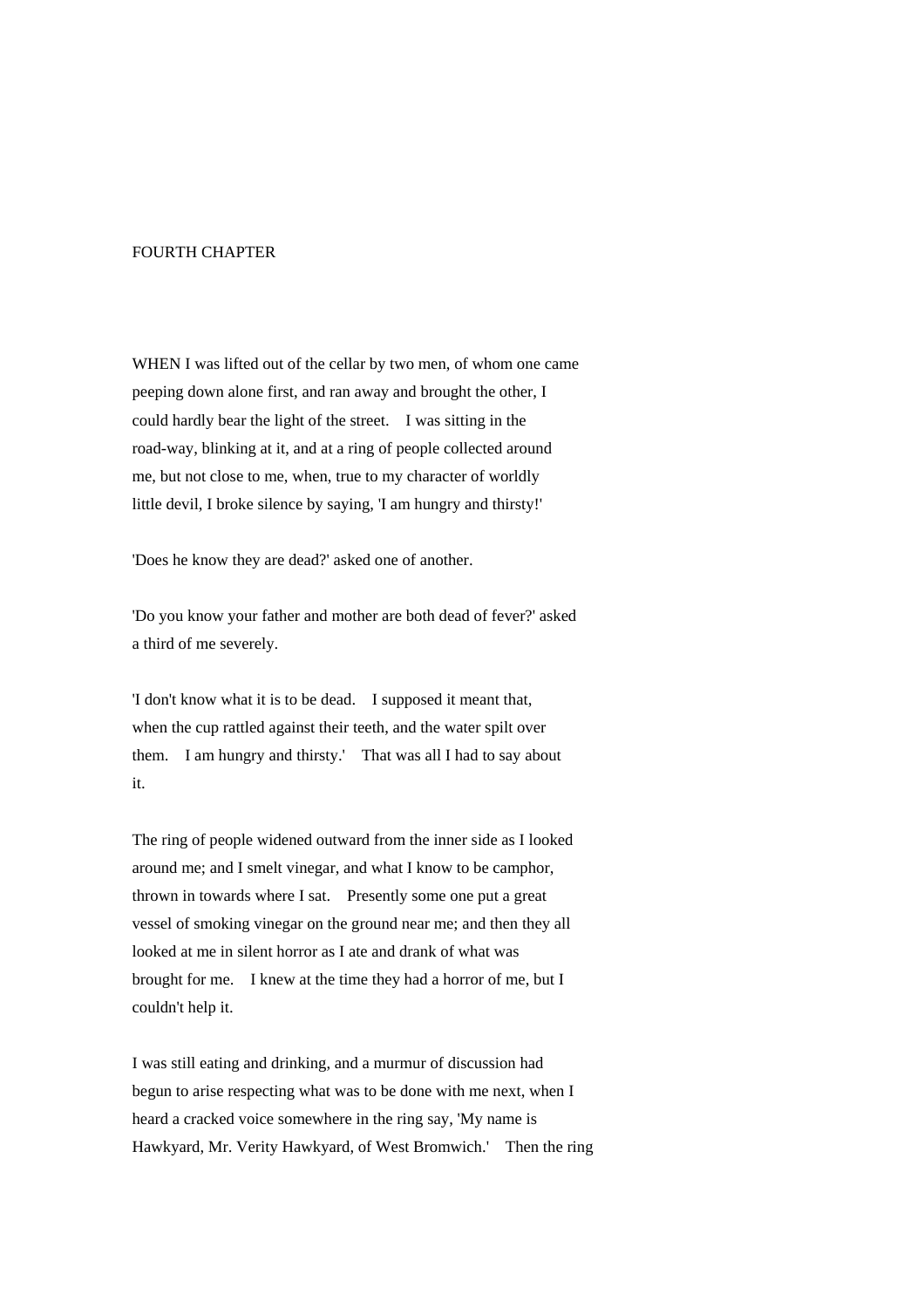#### FOURTH CHAPTER

WHEN I was lifted out of the cellar by two men, of whom one came peeping down alone first, and ran away and brought the other, I could hardly bear the light of the street. I was sitting in the road-way, blinking at it, and at a ring of people collected around me, but not close to me, when, true to my character of worldly little devil, I broke silence by saying, 'I am hungry and thirsty!'

'Does he know they are dead?' asked one of another.

'Do you know your father and mother are both dead of fever?' asked a third of me severely.

'I don't know what it is to be dead. I supposed it meant that, when the cup rattled against their teeth, and the water spilt over them. I am hungry and thirsty.' That was all I had to say about it.

The ring of people widened outward from the inner side as I looked around me; and I smelt vinegar, and what I know to be camphor, thrown in towards where I sat. Presently some one put a great vessel of smoking vinegar on the ground near me; and then they all looked at me in silent horror as I ate and drank of what was brought for me. I knew at the time they had a horror of me, but I couldn't help it.

I was still eating and drinking, and a murmur of discussion had begun to arise respecting what was to be done with me next, when I heard a cracked voice somewhere in the ring say, 'My name is Hawkyard, Mr. Verity Hawkyard, of West Bromwich.' Then the ring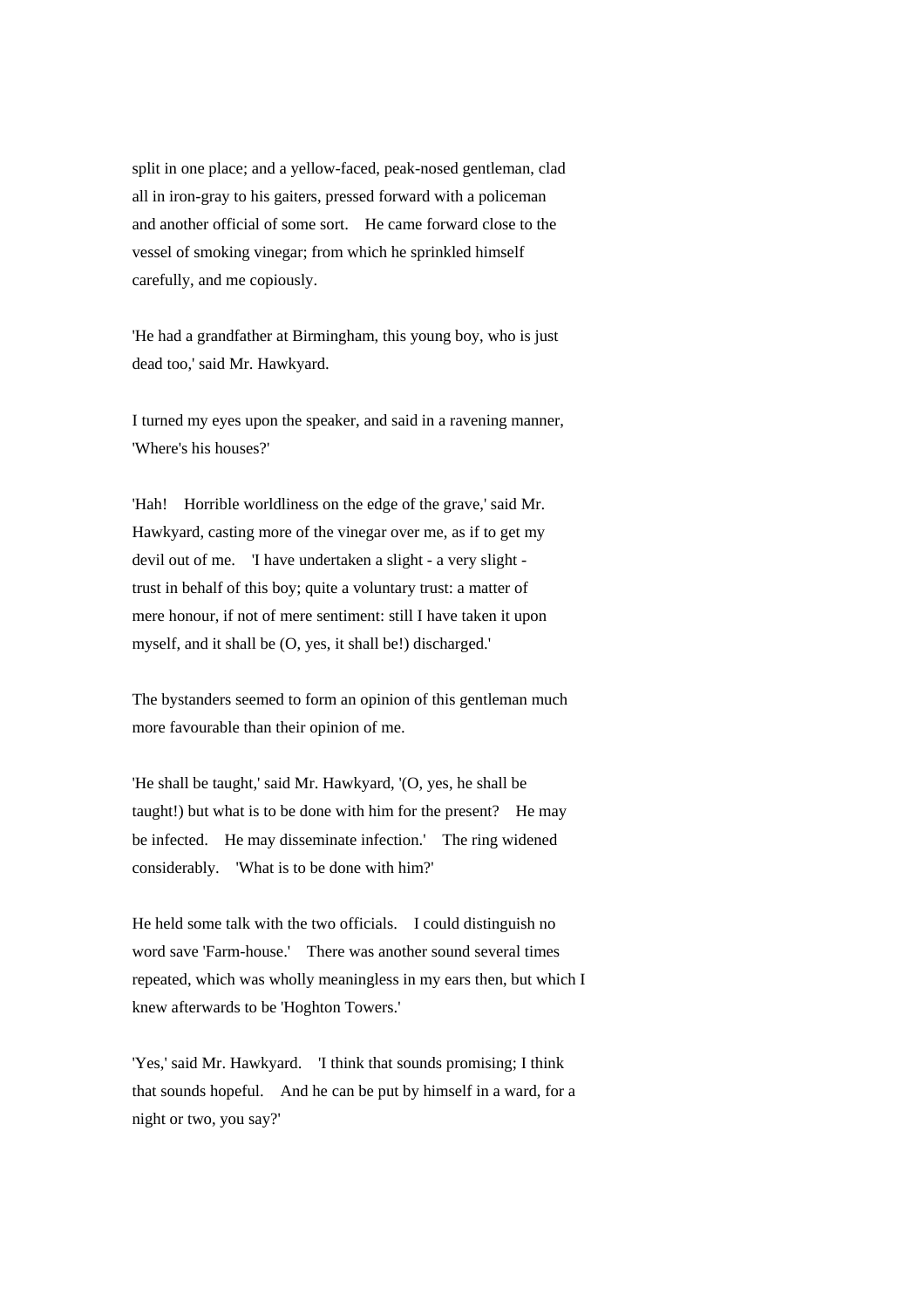split in one place; and a yellow-faced, peak-nosed gentleman, clad all in iron-gray to his gaiters, pressed forward with a policeman and another official of some sort. He came forward close to the vessel of smoking vinegar; from which he sprinkled himself carefully, and me copiously.

'He had a grandfather at Birmingham, this young boy, who is just dead too,' said Mr. Hawkyard.

I turned my eyes upon the speaker, and said in a ravening manner, 'Where's his houses?'

'Hah! Horrible worldliness on the edge of the grave,' said Mr. Hawkyard, casting more of the vinegar over me, as if to get my devil out of me. 'I have undertaken a slight - a very slight trust in behalf of this boy; quite a voluntary trust: a matter of mere honour, if not of mere sentiment: still I have taken it upon myself, and it shall be (O, yes, it shall be!) discharged.'

The bystanders seemed to form an opinion of this gentleman much more favourable than their opinion of me.

'He shall be taught,' said Mr. Hawkyard, '(O, yes, he shall be taught!) but what is to be done with him for the present? He may be infected. He may disseminate infection.' The ring widened considerably. 'What is to be done with him?'

He held some talk with the two officials. I could distinguish no word save 'Farm-house.' There was another sound several times repeated, which was wholly meaningless in my ears then, but which I knew afterwards to be 'Hoghton Towers.'

'Yes,' said Mr. Hawkyard. 'I think that sounds promising; I think that sounds hopeful. And he can be put by himself in a ward, for a night or two, you say?'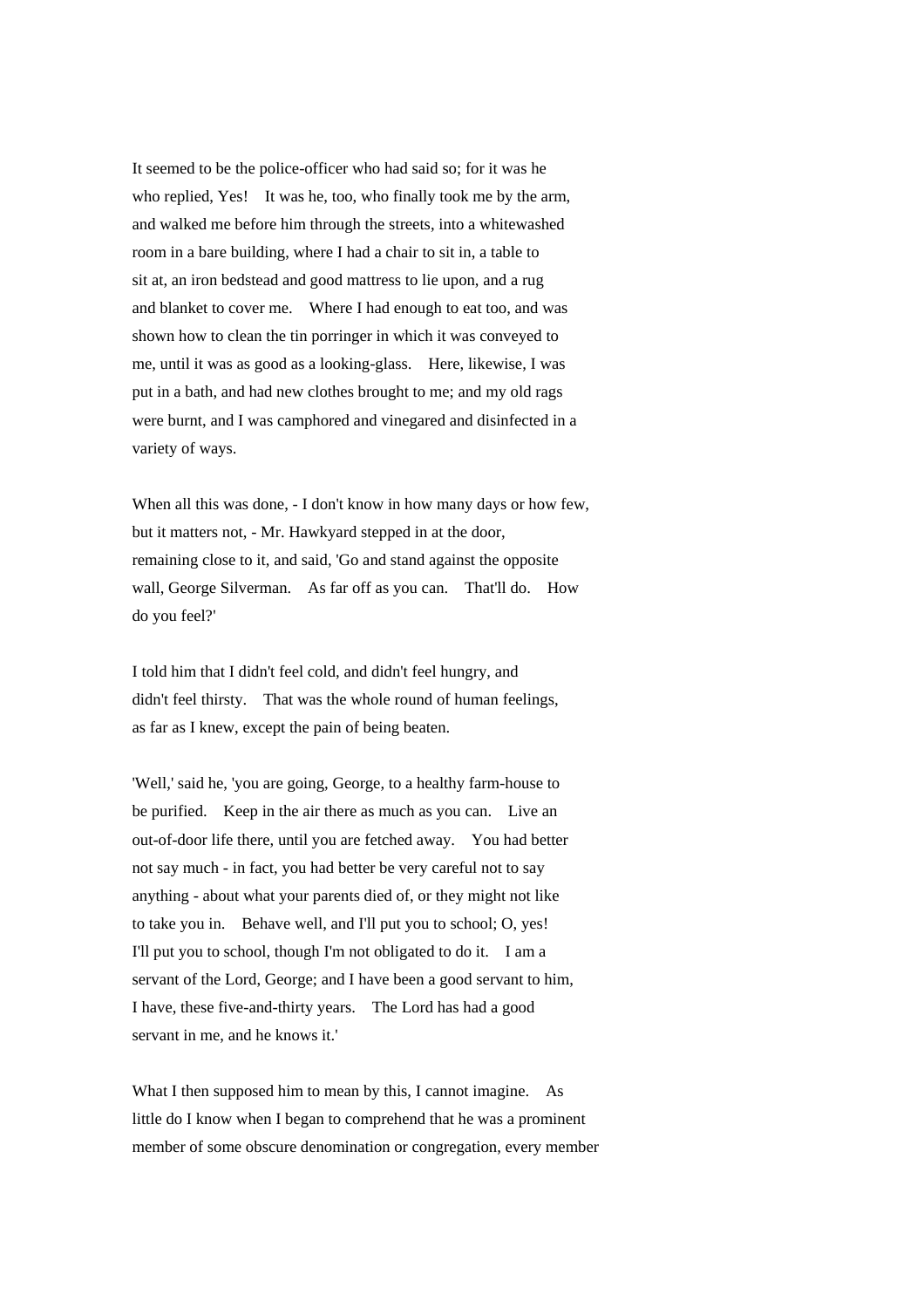It seemed to be the police-officer who had said so; for it was he who replied, Yes! It was he, too, who finally took me by the arm, and walked me before him through the streets, into a whitewashed room in a bare building, where I had a chair to sit in, a table to sit at, an iron bedstead and good mattress to lie upon, and a rug and blanket to cover me. Where I had enough to eat too, and was shown how to clean the tin porringer in which it was conveyed to me, until it was as good as a looking-glass. Here, likewise, I was put in a bath, and had new clothes brought to me; and my old rags were burnt, and I was camphored and vinegared and disinfected in a variety of ways.

When all this was done, - I don't know in how many days or how few, but it matters not, - Mr. Hawkyard stepped in at the door, remaining close to it, and said, 'Go and stand against the opposite wall, George Silverman. As far off as you can. That'll do. How do you feel?'

I told him that I didn't feel cold, and didn't feel hungry, and didn't feel thirsty. That was the whole round of human feelings, as far as I knew, except the pain of being beaten.

'Well,' said he, 'you are going, George, to a healthy farm-house to be purified. Keep in the air there as much as you can. Live an out-of-door life there, until you are fetched away. You had better not say much - in fact, you had better be very careful not to say anything - about what your parents died of, or they might not like to take you in. Behave well, and I'll put you to school; O, yes! I'll put you to school, though I'm not obligated to do it. I am a servant of the Lord, George; and I have been a good servant to him, I have, these five-and-thirty years. The Lord has had a good servant in me, and he knows it.'

What I then supposed him to mean by this, I cannot imagine. As little do I know when I began to comprehend that he was a prominent member of some obscure denomination or congregation, every member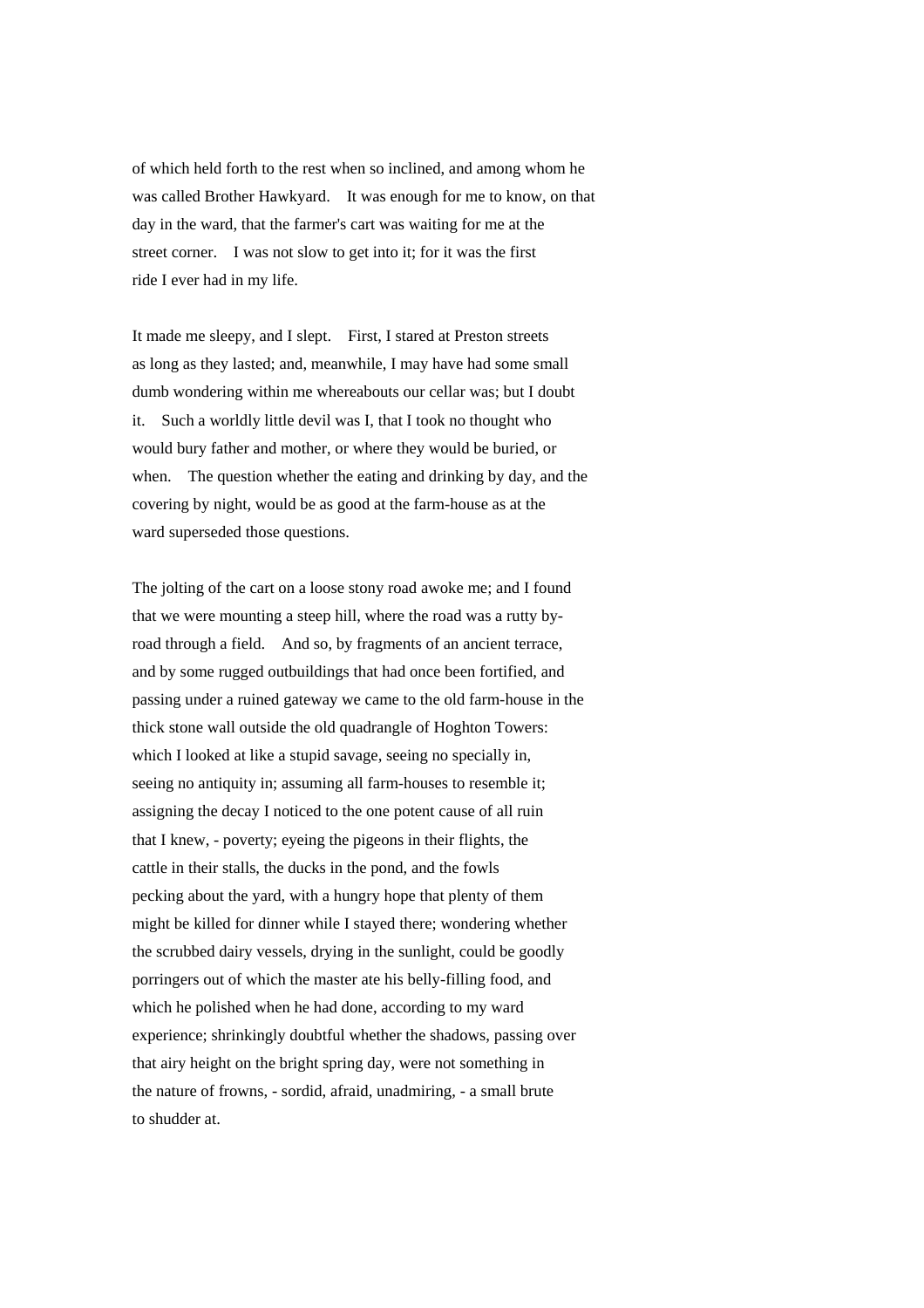of which held forth to the rest when so inclined, and among whom he was called Brother Hawkyard. It was enough for me to know, on that day in the ward, that the farmer's cart was waiting for me at the street corner. I was not slow to get into it; for it was the first ride I ever had in my life.

It made me sleepy, and I slept. First, I stared at Preston streets as long as they lasted; and, meanwhile, I may have had some small dumb wondering within me whereabouts our cellar was; but I doubt it. Such a worldly little devil was I, that I took no thought who would bury father and mother, or where they would be buried, or when. The question whether the eating and drinking by day, and the covering by night, would be as good at the farm-house as at the ward superseded those questions.

The jolting of the cart on a loose stony road awoke me; and I found that we were mounting a steep hill, where the road was a rutty byroad through a field. And so, by fragments of an ancient terrace, and by some rugged outbuildings that had once been fortified, and passing under a ruined gateway we came to the old farm-house in the thick stone wall outside the old quadrangle of Hoghton Towers: which I looked at like a stupid savage, seeing no specially in, seeing no antiquity in; assuming all farm-houses to resemble it; assigning the decay I noticed to the one potent cause of all ruin that I knew, - poverty; eyeing the pigeons in their flights, the cattle in their stalls, the ducks in the pond, and the fowls pecking about the yard, with a hungry hope that plenty of them might be killed for dinner while I stayed there; wondering whether the scrubbed dairy vessels, drying in the sunlight, could be goodly porringers out of which the master ate his belly-filling food, and which he polished when he had done, according to my ward experience; shrinkingly doubtful whether the shadows, passing over that airy height on the bright spring day, were not something in the nature of frowns, - sordid, afraid, unadmiring, - a small brute to shudder at.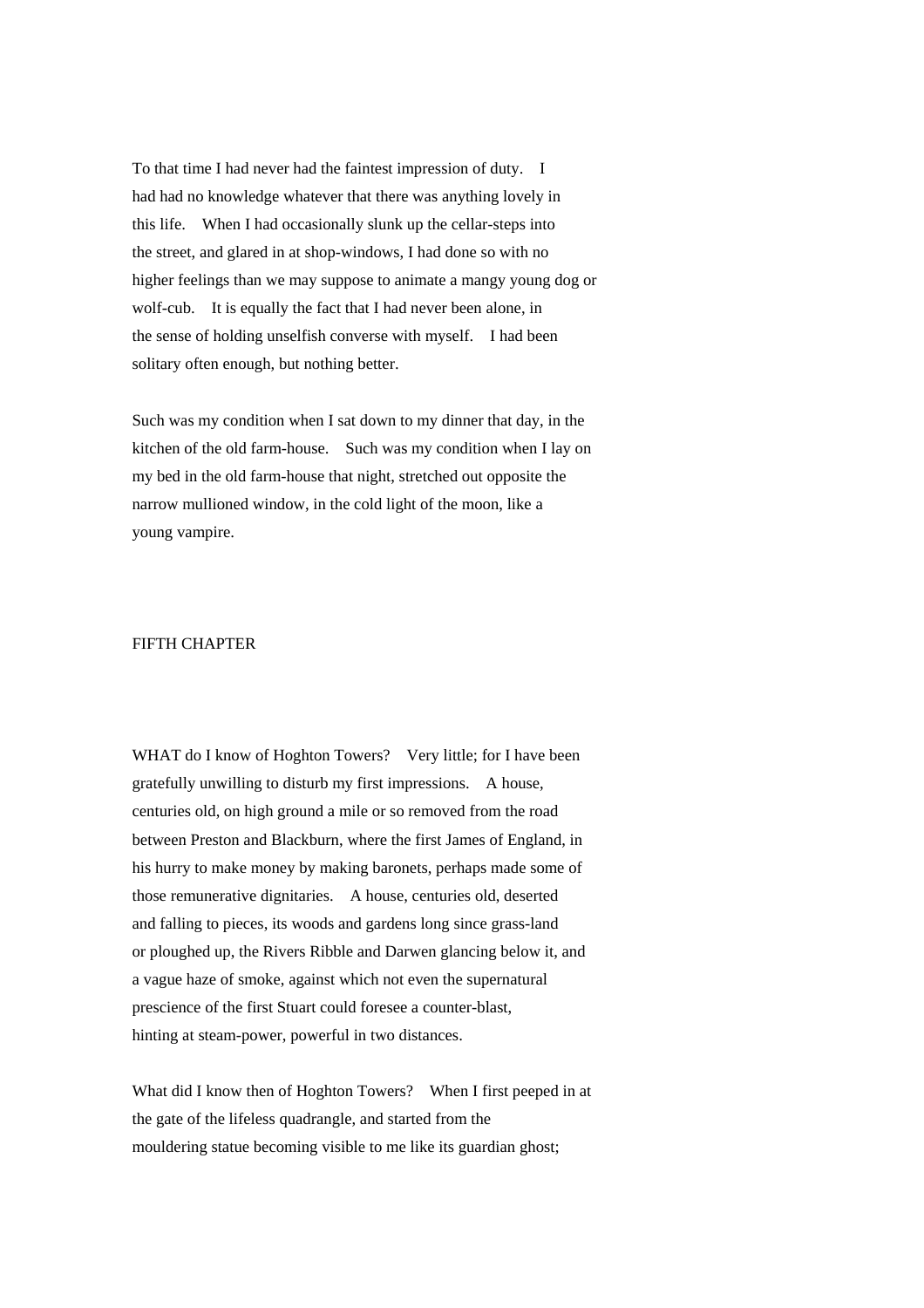To that time I had never had the faintest impression of duty. I had had no knowledge whatever that there was anything lovely in this life. When I had occasionally slunk up the cellar-steps into the street, and glared in at shop-windows, I had done so with no higher feelings than we may suppose to animate a mangy young dog or wolf-cub. It is equally the fact that I had never been alone, in the sense of holding unselfish converse with myself. I had been solitary often enough, but nothing better.

Such was my condition when I sat down to my dinner that day, in the kitchen of the old farm-house. Such was my condition when I lay on my bed in the old farm-house that night, stretched out opposite the narrow mullioned window, in the cold light of the moon, like a young vampire.

# FIFTH CHAPTER

WHAT do I know of Hoghton Towers? Very little; for I have been gratefully unwilling to disturb my first impressions. A house, centuries old, on high ground a mile or so removed from the road between Preston and Blackburn, where the first James of England, in his hurry to make money by making baronets, perhaps made some of those remunerative dignitaries. A house, centuries old, deserted and falling to pieces, its woods and gardens long since grass-land or ploughed up, the Rivers Ribble and Darwen glancing below it, and a vague haze of smoke, against which not even the supernatural prescience of the first Stuart could foresee a counter-blast, hinting at steam-power, powerful in two distances.

What did I know then of Hoghton Towers? When I first peeped in at the gate of the lifeless quadrangle, and started from the mouldering statue becoming visible to me like its guardian ghost;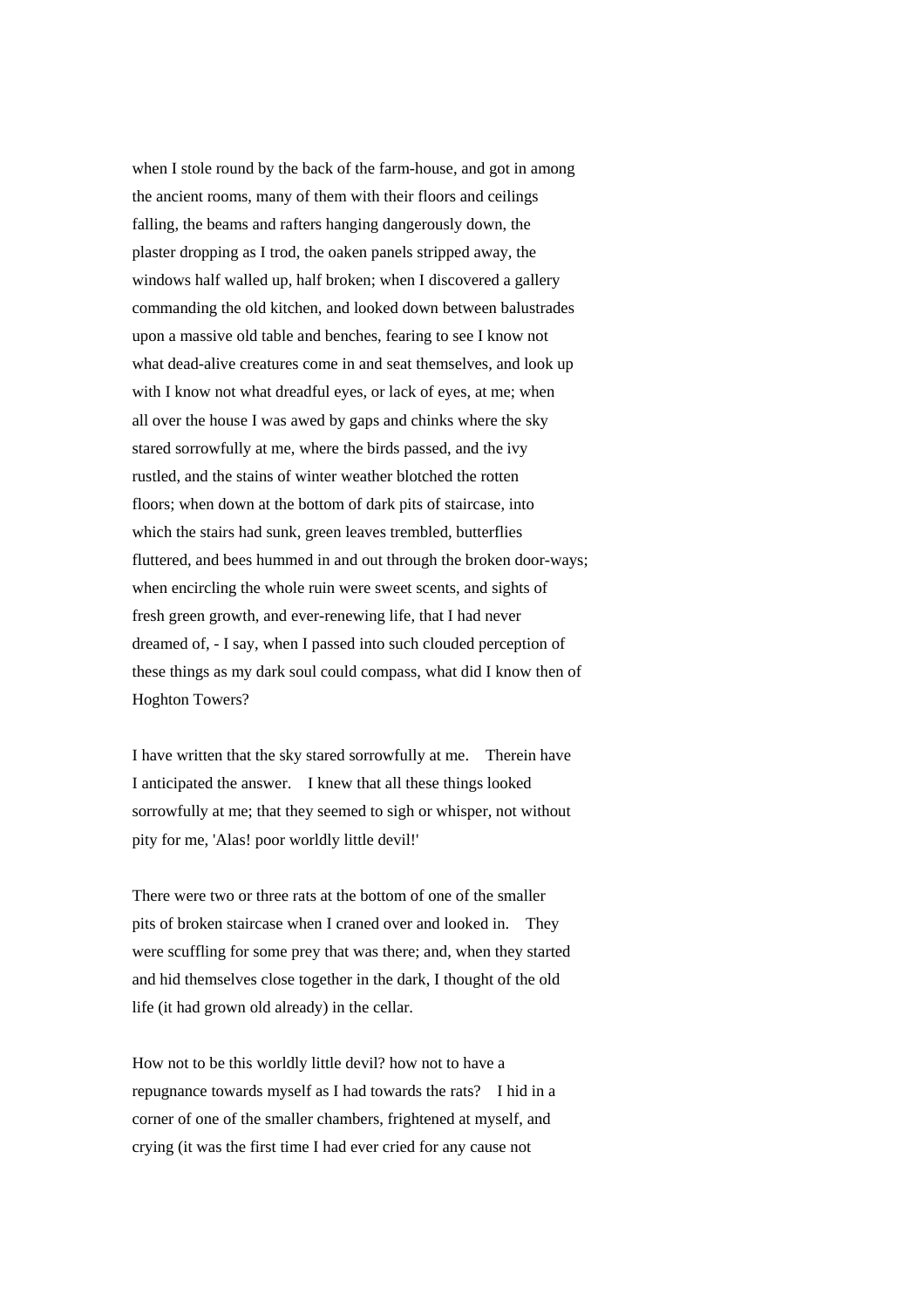when I stole round by the back of the farm-house, and got in among the ancient rooms, many of them with their floors and ceilings falling, the beams and rafters hanging dangerously down, the plaster dropping as I trod, the oaken panels stripped away, the windows half walled up, half broken; when I discovered a gallery commanding the old kitchen, and looked down between balustrades upon a massive old table and benches, fearing to see I know not what dead-alive creatures come in and seat themselves, and look up with I know not what dreadful eyes, or lack of eyes, at me; when all over the house I was awed by gaps and chinks where the sky stared sorrowfully at me, where the birds passed, and the ivy rustled, and the stains of winter weather blotched the rotten floors; when down at the bottom of dark pits of staircase, into which the stairs had sunk, green leaves trembled, butterflies fluttered, and bees hummed in and out through the broken door-ways; when encircling the whole ruin were sweet scents, and sights of fresh green growth, and ever-renewing life, that I had never dreamed of, - I say, when I passed into such clouded perception of these things as my dark soul could compass, what did I know then of Hoghton Towers?

I have written that the sky stared sorrowfully at me. Therein have I anticipated the answer. I knew that all these things looked sorrowfully at me; that they seemed to sigh or whisper, not without pity for me, 'Alas! poor worldly little devil!'

There were two or three rats at the bottom of one of the smaller pits of broken staircase when I craned over and looked in. They were scuffling for some prey that was there; and, when they started and hid themselves close together in the dark, I thought of the old life (it had grown old already) in the cellar.

How not to be this worldly little devil? how not to have a repugnance towards myself as I had towards the rats? I hid in a corner of one of the smaller chambers, frightened at myself, and crying (it was the first time I had ever cried for any cause not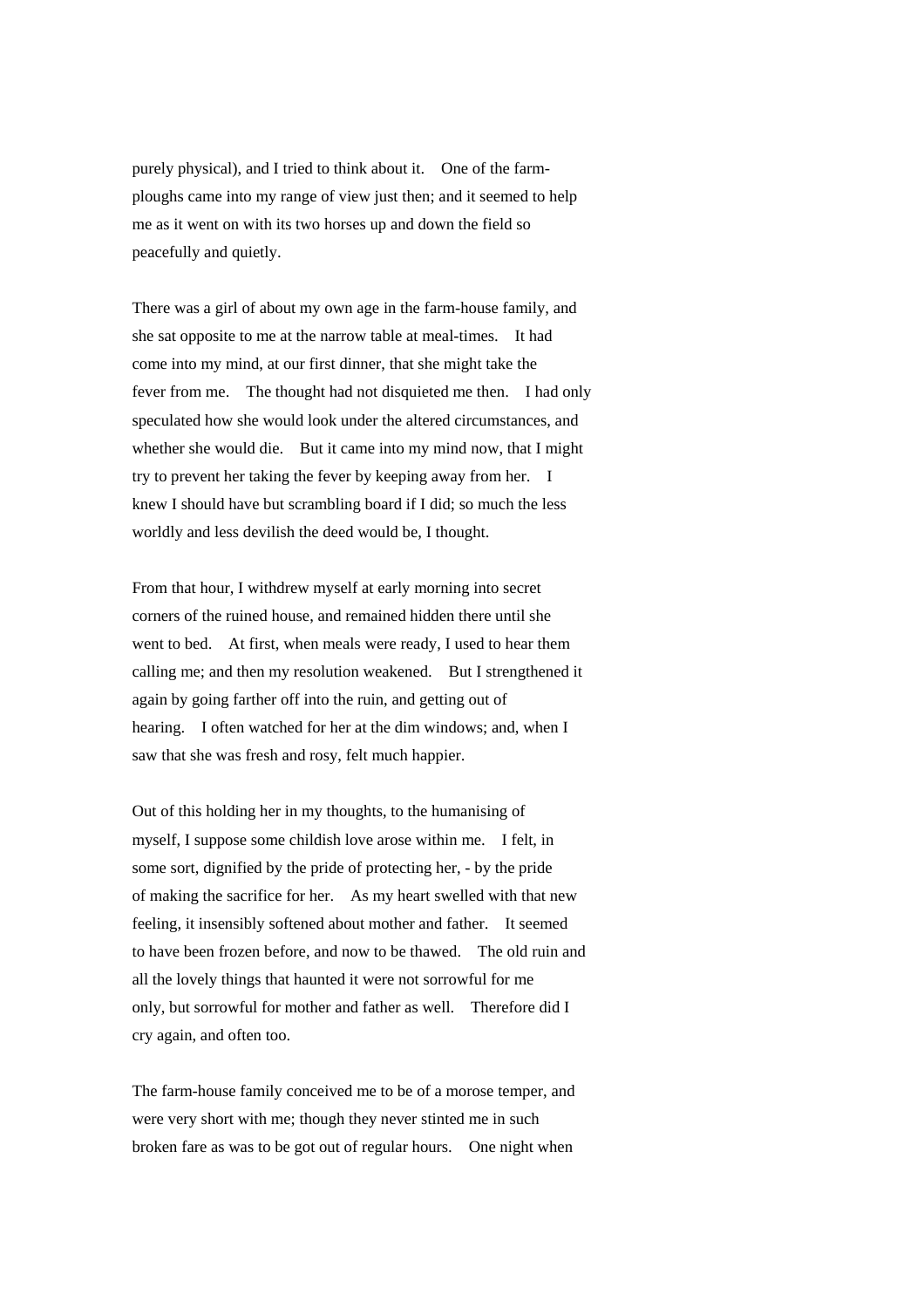purely physical), and I tried to think about it. One of the farmploughs came into my range of view just then; and it seemed to help me as it went on with its two horses up and down the field so peacefully and quietly.

There was a girl of about my own age in the farm-house family, and she sat opposite to me at the narrow table at meal-times. It had come into my mind, at our first dinner, that she might take the fever from me. The thought had not disquieted me then. I had only speculated how she would look under the altered circumstances, and whether she would die. But it came into my mind now, that I might try to prevent her taking the fever by keeping away from her. I knew I should have but scrambling board if I did; so much the less worldly and less devilish the deed would be, I thought.

From that hour, I withdrew myself at early morning into secret corners of the ruined house, and remained hidden there until she went to bed. At first, when meals were ready, I used to hear them calling me; and then my resolution weakened. But I strengthened it again by going farther off into the ruin, and getting out of hearing. I often watched for her at the dim windows; and, when I saw that she was fresh and rosy, felt much happier.

Out of this holding her in my thoughts, to the humanising of myself, I suppose some childish love arose within me. I felt, in some sort, dignified by the pride of protecting her, - by the pride of making the sacrifice for her. As my heart swelled with that new feeling, it insensibly softened about mother and father. It seemed to have been frozen before, and now to be thawed. The old ruin and all the lovely things that haunted it were not sorrowful for me only, but sorrowful for mother and father as well. Therefore did I cry again, and often too.

The farm-house family conceived me to be of a morose temper, and were very short with me; though they never stinted me in such broken fare as was to be got out of regular hours. One night when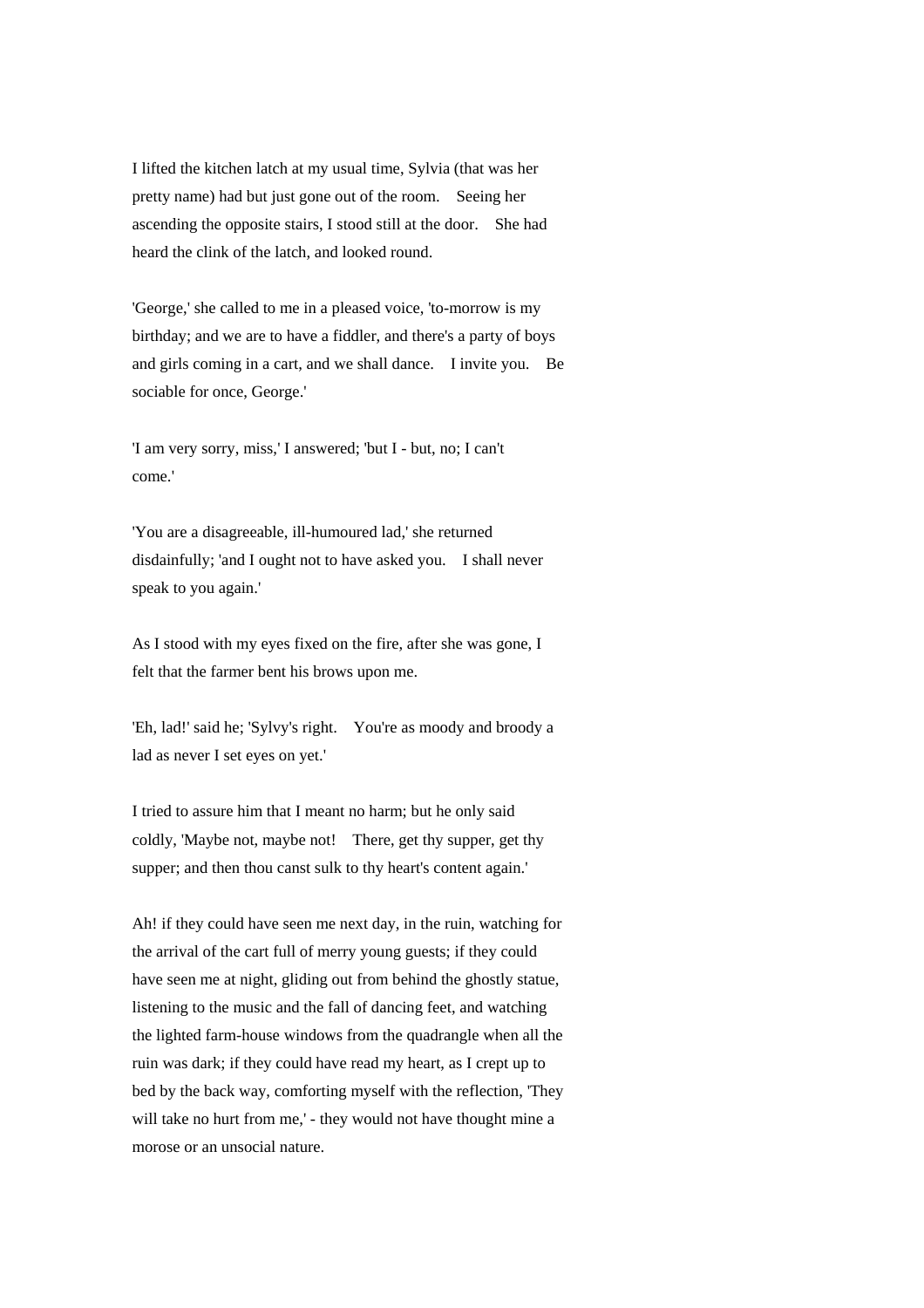I lifted the kitchen latch at my usual time, Sylvia (that was her pretty name) had but just gone out of the room. Seeing her ascending the opposite stairs, I stood still at the door. She had heard the clink of the latch, and looked round.

'George,' she called to me in a pleased voice, 'to-morrow is my birthday; and we are to have a fiddler, and there's a party of boys and girls coming in a cart, and we shall dance. I invite you. Be sociable for once, George.'

'I am very sorry, miss,' I answered; 'but I - but, no; I can't come.'

'You are a disagreeable, ill-humoured lad,' she returned disdainfully; 'and I ought not to have asked you. I shall never speak to you again.'

As I stood with my eyes fixed on the fire, after she was gone, I felt that the farmer bent his brows upon me.

'Eh, lad!' said he; 'Sylvy's right. You're as moody and broody a lad as never I set eyes on yet.'

I tried to assure him that I meant no harm; but he only said coldly, 'Maybe not, maybe not! There, get thy supper, get thy supper; and then thou canst sulk to thy heart's content again.'

Ah! if they could have seen me next day, in the ruin, watching for the arrival of the cart full of merry young guests; if they could have seen me at night, gliding out from behind the ghostly statue, listening to the music and the fall of dancing feet, and watching the lighted farm-house windows from the quadrangle when all the ruin was dark; if they could have read my heart, as I crept up to bed by the back way, comforting myself with the reflection, 'They will take no hurt from me,' - they would not have thought mine a morose or an unsocial nature.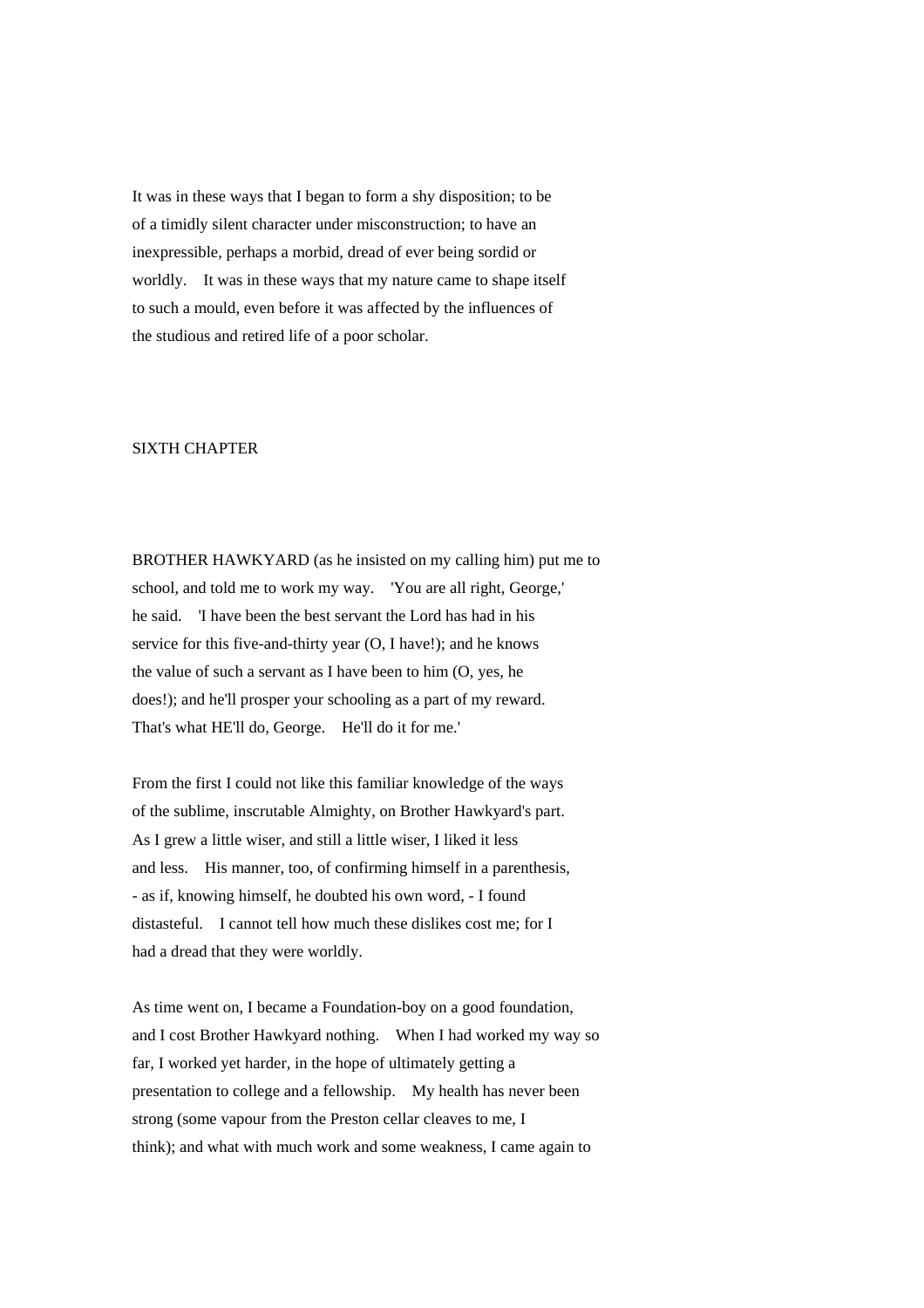It was in these ways that I began to form a shy disposition; to be of a timidly silent character under misconstruction; to have an inexpressible, perhaps a morbid, dread of ever being sordid or worldly. It was in these ways that my nature came to shape itself to such a mould, even before it was affected by the influences of the studious and retired life of a poor scholar.

### SIXTH CHAPTER

BROTHER HAWKYARD (as he insisted on my calling him) put me to school, and told me to work my way. 'You are all right, George,' he said. 'I have been the best servant the Lord has had in his service for this five-and-thirty year (O, I have!); and he knows the value of such a servant as I have been to him (O, yes, he does!); and he'll prosper your schooling as a part of my reward. That's what HE'll do, George. He'll do it for me.'

From the first I could not like this familiar knowledge of the ways of the sublime, inscrutable Almighty, on Brother Hawkyard's part. As I grew a little wiser, and still a little wiser, I liked it less and less. His manner, too, of confirming himself in a parenthesis, - as if, knowing himself, he doubted his own word, - I found distasteful. I cannot tell how much these dislikes cost me; for I had a dread that they were worldly.

As time went on, I became a Foundation-boy on a good foundation, and I cost Brother Hawkyard nothing. When I had worked my way so far, I worked yet harder, in the hope of ultimately getting a presentation to college and a fellowship. My health has never been strong (some vapour from the Preston cellar cleaves to me, I think); and what with much work and some weakness, I came again to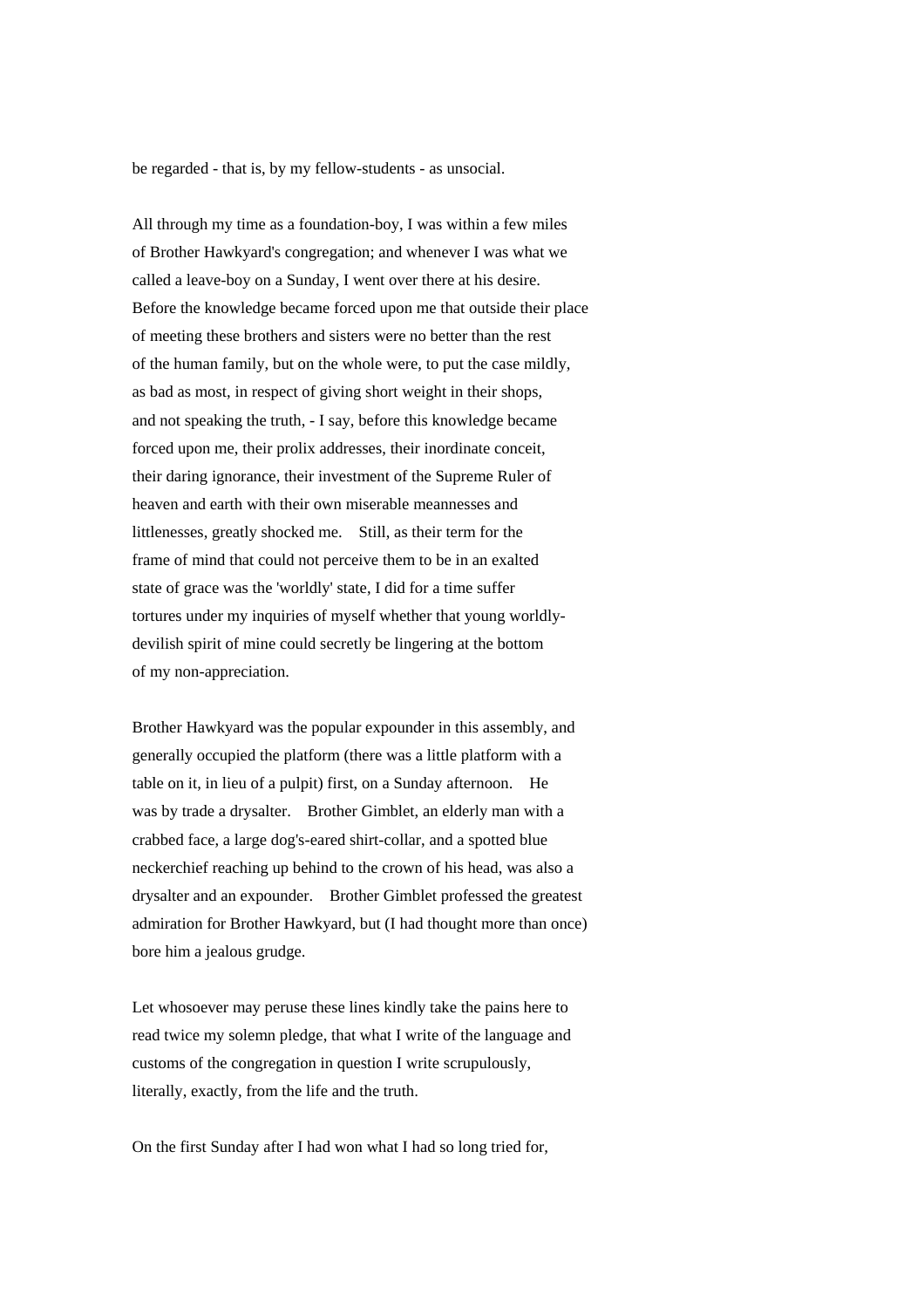be regarded - that is, by my fellow-students - as unsocial.

All through my time as a foundation-boy, I was within a few miles of Brother Hawkyard's congregation; and whenever I was what we called a leave-boy on a Sunday, I went over there at his desire. Before the knowledge became forced upon me that outside their place of meeting these brothers and sisters were no better than the rest of the human family, but on the whole were, to put the case mildly, as bad as most, in respect of giving short weight in their shops, and not speaking the truth, - I say, before this knowledge became forced upon me, their prolix addresses, their inordinate conceit, their daring ignorance, their investment of the Supreme Ruler of heaven and earth with their own miserable meannesses and littlenesses, greatly shocked me. Still, as their term for the frame of mind that could not perceive them to be in an exalted state of grace was the 'worldly' state, I did for a time suffer tortures under my inquiries of myself whether that young worldlydevilish spirit of mine could secretly be lingering at the bottom of my non-appreciation.

Brother Hawkyard was the popular expounder in this assembly, and generally occupied the platform (there was a little platform with a table on it, in lieu of a pulpit) first, on a Sunday afternoon. He was by trade a drysalter. Brother Gimblet, an elderly man with a crabbed face, a large dog's-eared shirt-collar, and a spotted blue neckerchief reaching up behind to the crown of his head, was also a drysalter and an expounder. Brother Gimblet professed the greatest admiration for Brother Hawkyard, but (I had thought more than once) bore him a jealous grudge.

Let whosoever may peruse these lines kindly take the pains here to read twice my solemn pledge, that what I write of the language and customs of the congregation in question I write scrupulously, literally, exactly, from the life and the truth.

On the first Sunday after I had won what I had so long tried for,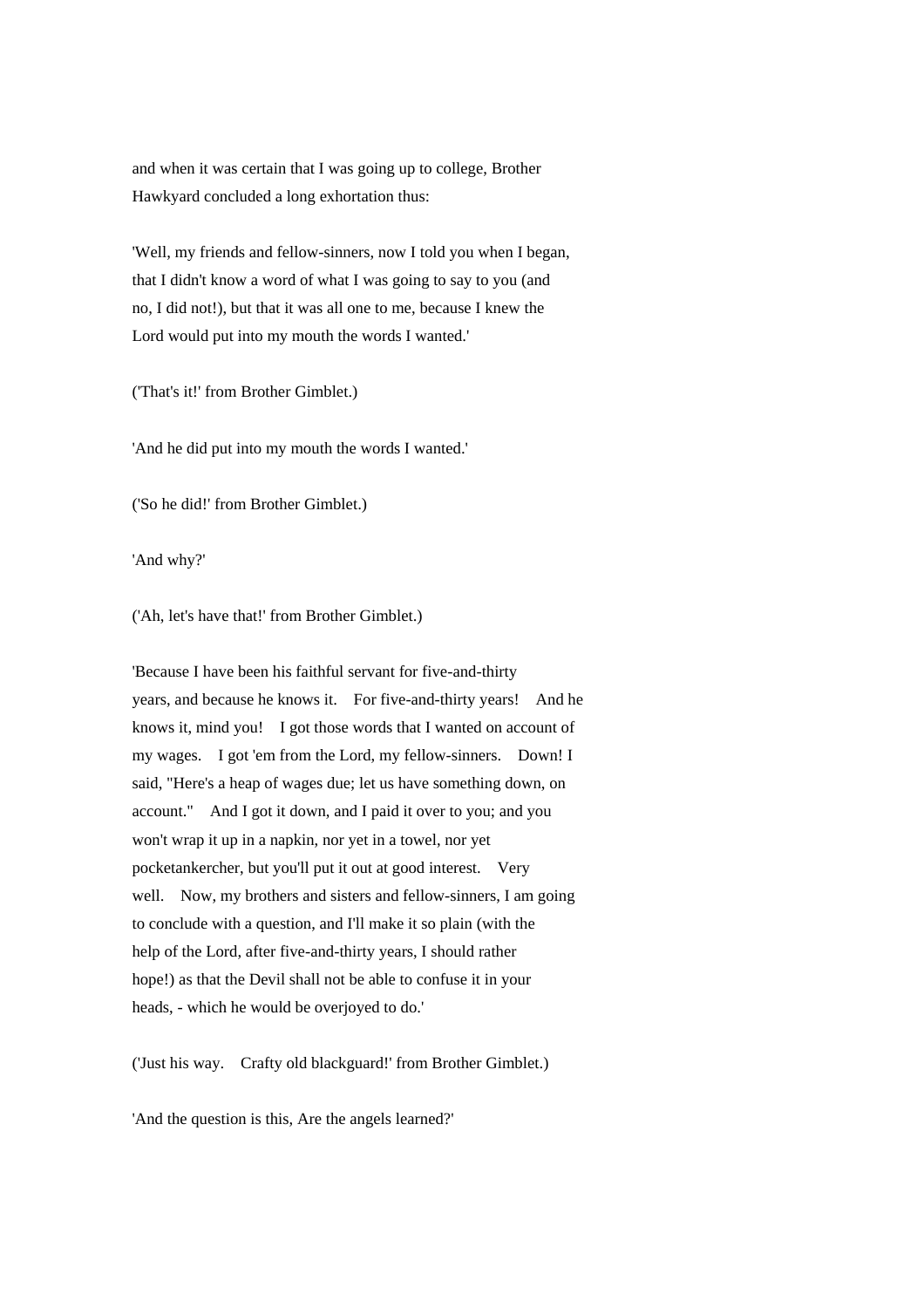and when it was certain that I was going up to college, Brother Hawkyard concluded a long exhortation thus:

'Well, my friends and fellow-sinners, now I told you when I began, that I didn't know a word of what I was going to say to you (and no, I did not!), but that it was all one to me, because I knew the Lord would put into my mouth the words I wanted.'

('That's it!' from Brother Gimblet.)

'And he did put into my mouth the words I wanted.'

('So he did!' from Brother Gimblet.)

'And why?'

('Ah, let's have that!' from Brother Gimblet.)

'Because I have been his faithful servant for five-and-thirty years, and because he knows it. For five-and-thirty years! And he knows it, mind you! I got those words that I wanted on account of my wages. I got 'em from the Lord, my fellow-sinners. Down! I said, "Here's a heap of wages due; let us have something down, on account." And I got it down, and I paid it over to you; and you won't wrap it up in a napkin, nor yet in a towel, nor yet pocketankercher, but you'll put it out at good interest. Very well. Now, my brothers and sisters and fellow-sinners, I am going to conclude with a question, and I'll make it so plain (with the help of the Lord, after five-and-thirty years, I should rather hope!) as that the Devil shall not be able to confuse it in your heads, - which he would be overjoyed to do.'

('Just his way. Crafty old blackguard!' from Brother Gimblet.)

'And the question is this, Are the angels learned?'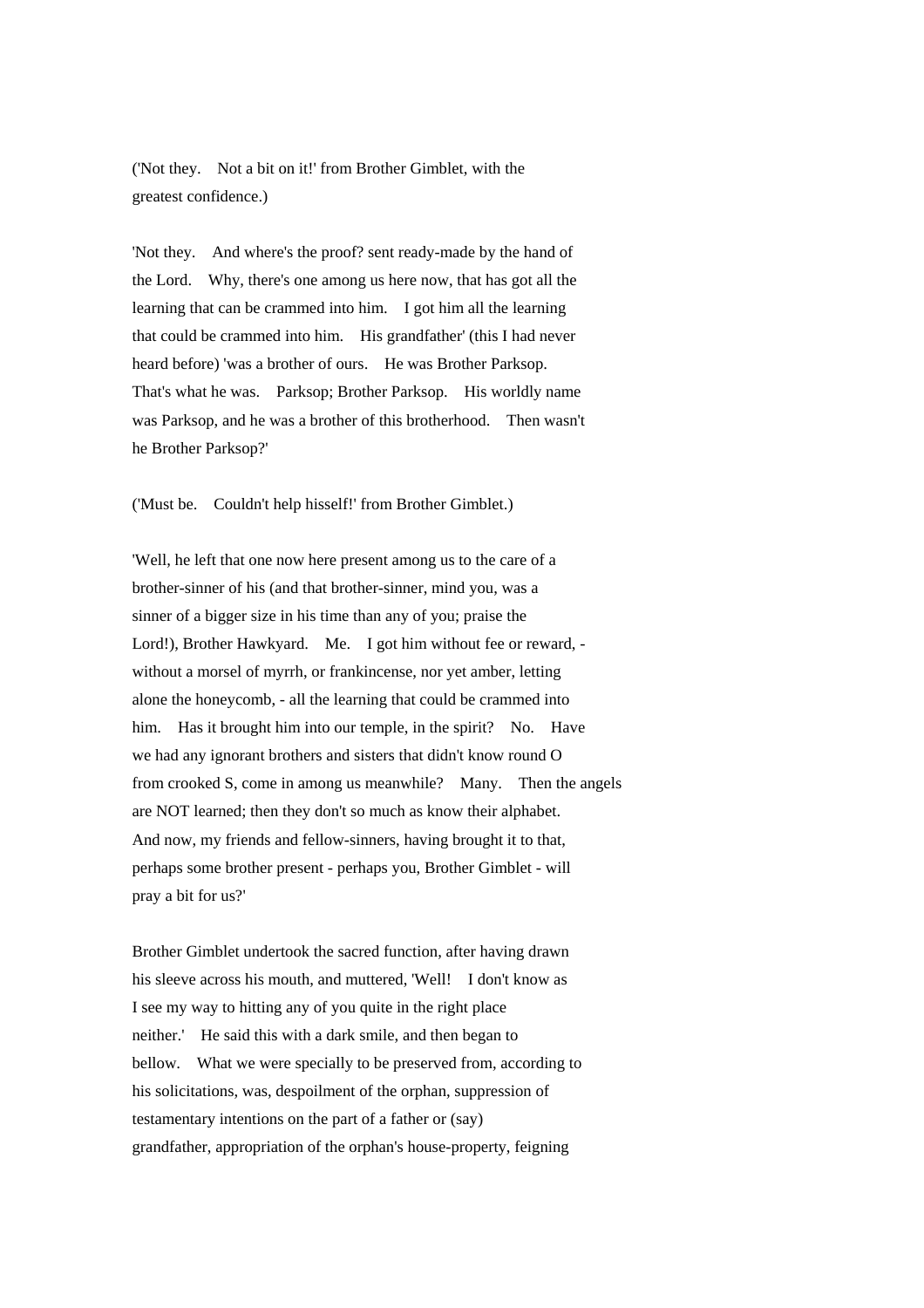('Not they. Not a bit on it!' from Brother Gimblet, with the greatest confidence.)

'Not they. And where's the proof? sent ready-made by the hand of the Lord. Why, there's one among us here now, that has got all the learning that can be crammed into him. I got him all the learning that could be crammed into him. His grandfather' (this I had never heard before) 'was a brother of ours. He was Brother Parksop. That's what he was. Parksop; Brother Parksop. His worldly name was Parksop, and he was a brother of this brotherhood. Then wasn't he Brother Parksop?'

('Must be. Couldn't help hisself!' from Brother Gimblet.)

'Well, he left that one now here present among us to the care of a brother-sinner of his (and that brother-sinner, mind you, was a sinner of a bigger size in his time than any of you; praise the Lord!), Brother Hawkyard. Me. I got him without fee or reward, without a morsel of myrrh, or frankincense, nor yet amber, letting alone the honeycomb, - all the learning that could be crammed into him. Has it brought him into our temple, in the spirit? No. Have we had any ignorant brothers and sisters that didn't know round O from crooked S, come in among us meanwhile? Many. Then the angels are NOT learned; then they don't so much as know their alphabet. And now, my friends and fellow-sinners, having brought it to that, perhaps some brother present - perhaps you, Brother Gimblet - will pray a bit for us?'

Brother Gimblet undertook the sacred function, after having drawn his sleeve across his mouth, and muttered, 'Well! I don't know as I see my way to hitting any of you quite in the right place neither.' He said this with a dark smile, and then began to bellow. What we were specially to be preserved from, according to his solicitations, was, despoilment of the orphan, suppression of testamentary intentions on the part of a father or (say) grandfather, appropriation of the orphan's house-property, feigning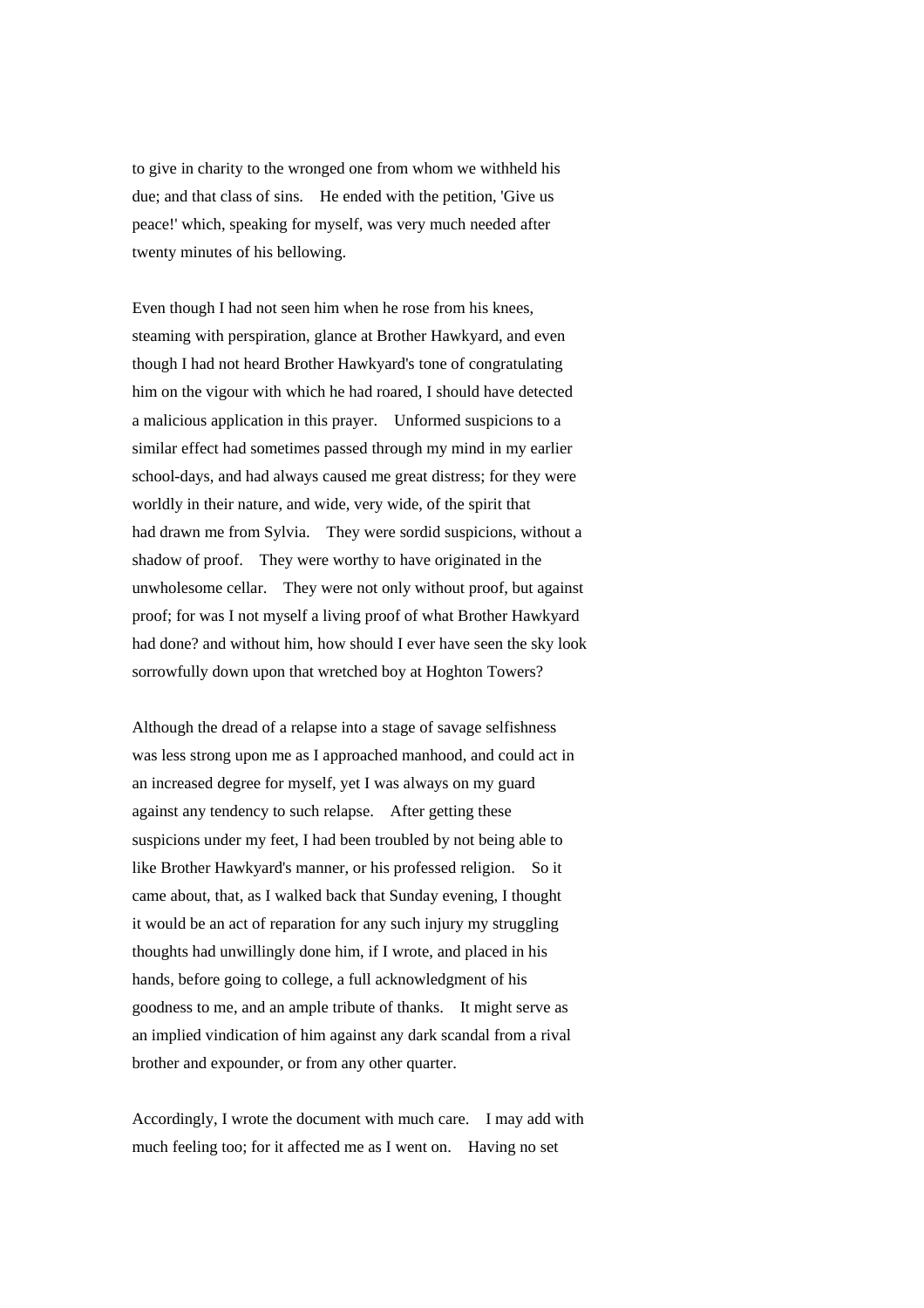to give in charity to the wronged one from whom we withheld his due; and that class of sins. He ended with the petition, 'Give us peace!' which, speaking for myself, was very much needed after twenty minutes of his bellowing.

Even though I had not seen him when he rose from his knees, steaming with perspiration, glance at Brother Hawkyard, and even though I had not heard Brother Hawkyard's tone of congratulating him on the vigour with which he had roared, I should have detected a malicious application in this prayer. Unformed suspicions to a similar effect had sometimes passed through my mind in my earlier school-days, and had always caused me great distress; for they were worldly in their nature, and wide, very wide, of the spirit that had drawn me from Sylvia. They were sordid suspicions, without a shadow of proof. They were worthy to have originated in the unwholesome cellar. They were not only without proof, but against proof; for was I not myself a living proof of what Brother Hawkyard had done? and without him, how should I ever have seen the sky look sorrowfully down upon that wretched boy at Hoghton Towers?

Although the dread of a relapse into a stage of savage selfishness was less strong upon me as I approached manhood, and could act in an increased degree for myself, yet I was always on my guard against any tendency to such relapse. After getting these suspicions under my feet, I had been troubled by not being able to like Brother Hawkyard's manner, or his professed religion. So it came about, that, as I walked back that Sunday evening, I thought it would be an act of reparation for any such injury my struggling thoughts had unwillingly done him, if I wrote, and placed in his hands, before going to college, a full acknowledgment of his goodness to me, and an ample tribute of thanks. It might serve as an implied vindication of him against any dark scandal from a rival brother and expounder, or from any other quarter.

Accordingly, I wrote the document with much care. I may add with much feeling too; for it affected me as I went on. Having no set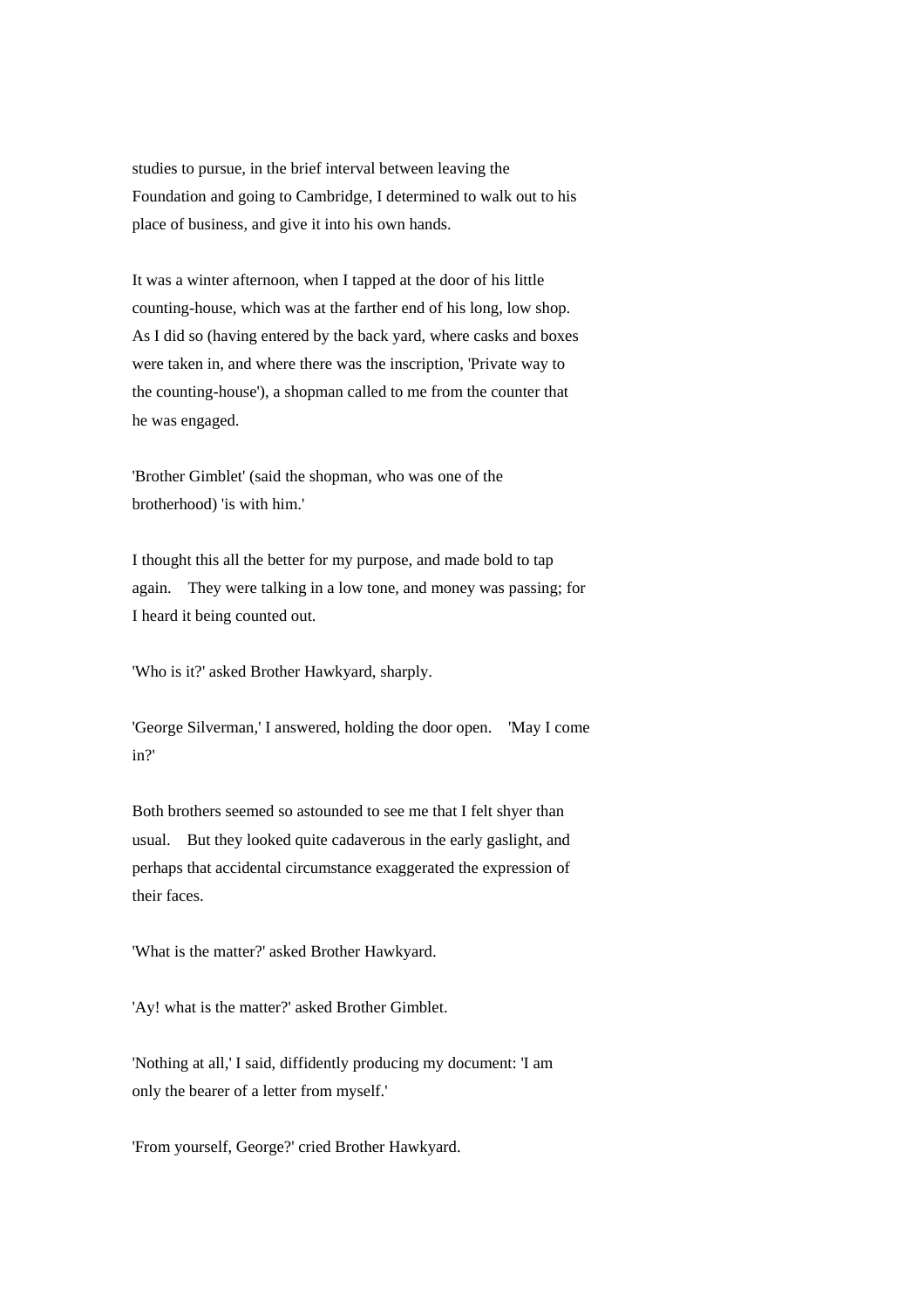studies to pursue, in the brief interval between leaving the Foundation and going to Cambridge, I determined to walk out to his place of business, and give it into his own hands.

It was a winter afternoon, when I tapped at the door of his little counting-house, which was at the farther end of his long, low shop. As I did so (having entered by the back yard, where casks and boxes were taken in, and where there was the inscription, 'Private way to the counting-house'), a shopman called to me from the counter that he was engaged.

'Brother Gimblet' (said the shopman, who was one of the brotherhood) 'is with him.'

I thought this all the better for my purpose, and made bold to tap again. They were talking in a low tone, and money was passing; for I heard it being counted out.

'Who is it?' asked Brother Hawkyard, sharply.

'George Silverman,' I answered, holding the door open. 'May I come in?'

Both brothers seemed so astounded to see me that I felt shyer than usual. But they looked quite cadaverous in the early gaslight, and perhaps that accidental circumstance exaggerated the expression of their faces.

'What is the matter?' asked Brother Hawkyard.

'Ay! what is the matter?' asked Brother Gimblet.

'Nothing at all,' I said, diffidently producing my document: 'I am only the bearer of a letter from myself.'

'From yourself, George?' cried Brother Hawkyard.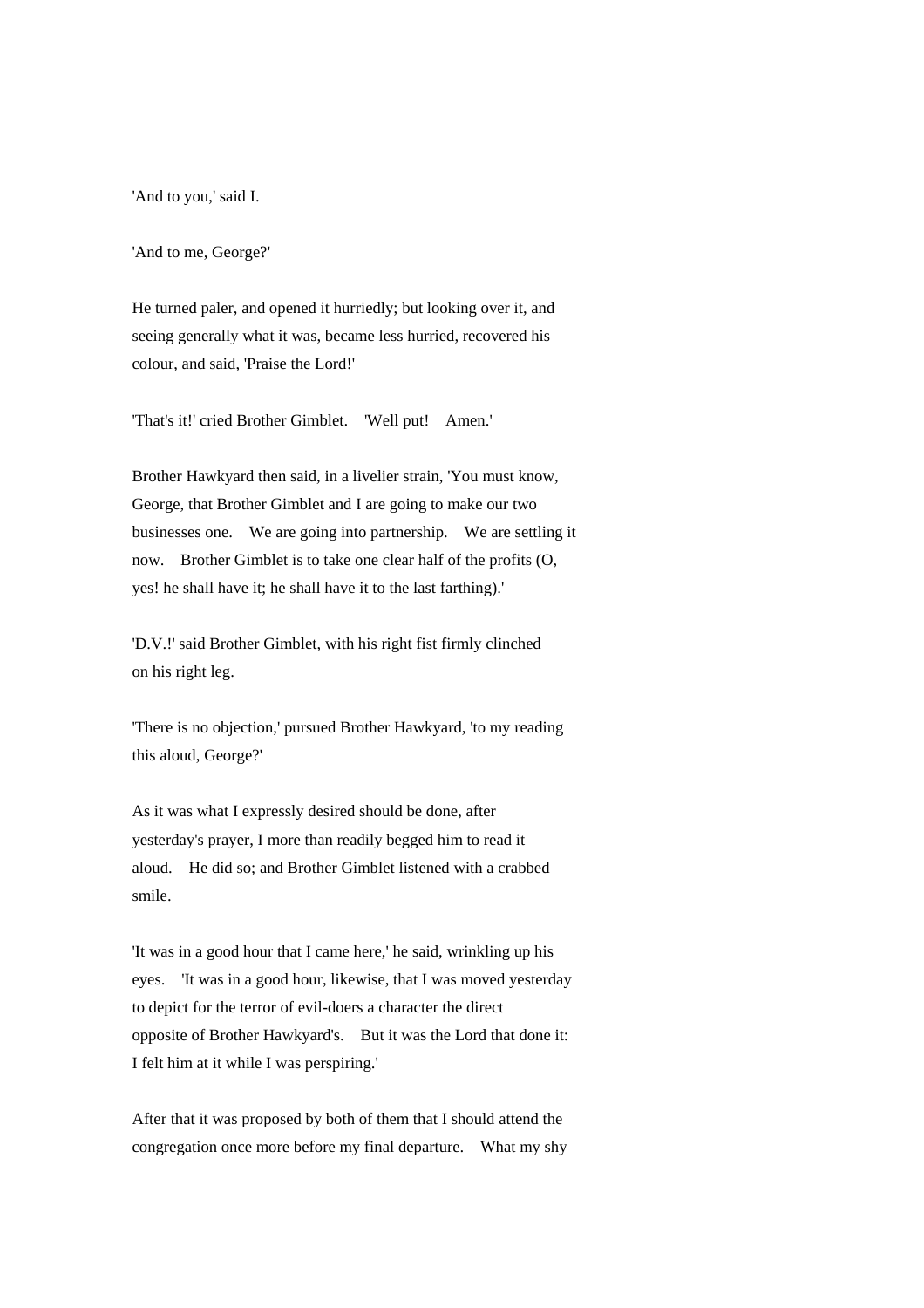'And to you,' said I.

'And to me, George?'

He turned paler, and opened it hurriedly; but looking over it, and seeing generally what it was, became less hurried, recovered his colour, and said, 'Praise the Lord!'

'That's it!' cried Brother Gimblet. 'Well put! Amen.'

Brother Hawkyard then said, in a livelier strain, 'You must know, George, that Brother Gimblet and I are going to make our two businesses one. We are going into partnership. We are settling it now. Brother Gimblet is to take one clear half of the profits (O, yes! he shall have it; he shall have it to the last farthing).'

'D.V.!' said Brother Gimblet, with his right fist firmly clinched on his right leg.

'There is no objection,' pursued Brother Hawkyard, 'to my reading this aloud, George?'

As it was what I expressly desired should be done, after yesterday's prayer, I more than readily begged him to read it aloud. He did so; and Brother Gimblet listened with a crabbed smile.

'It was in a good hour that I came here,' he said, wrinkling up his eyes. 'It was in a good hour, likewise, that I was moved yesterday to depict for the terror of evil-doers a character the direct opposite of Brother Hawkyard's. But it was the Lord that done it: I felt him at it while I was perspiring.'

After that it was proposed by both of them that I should attend the congregation once more before my final departure. What my shy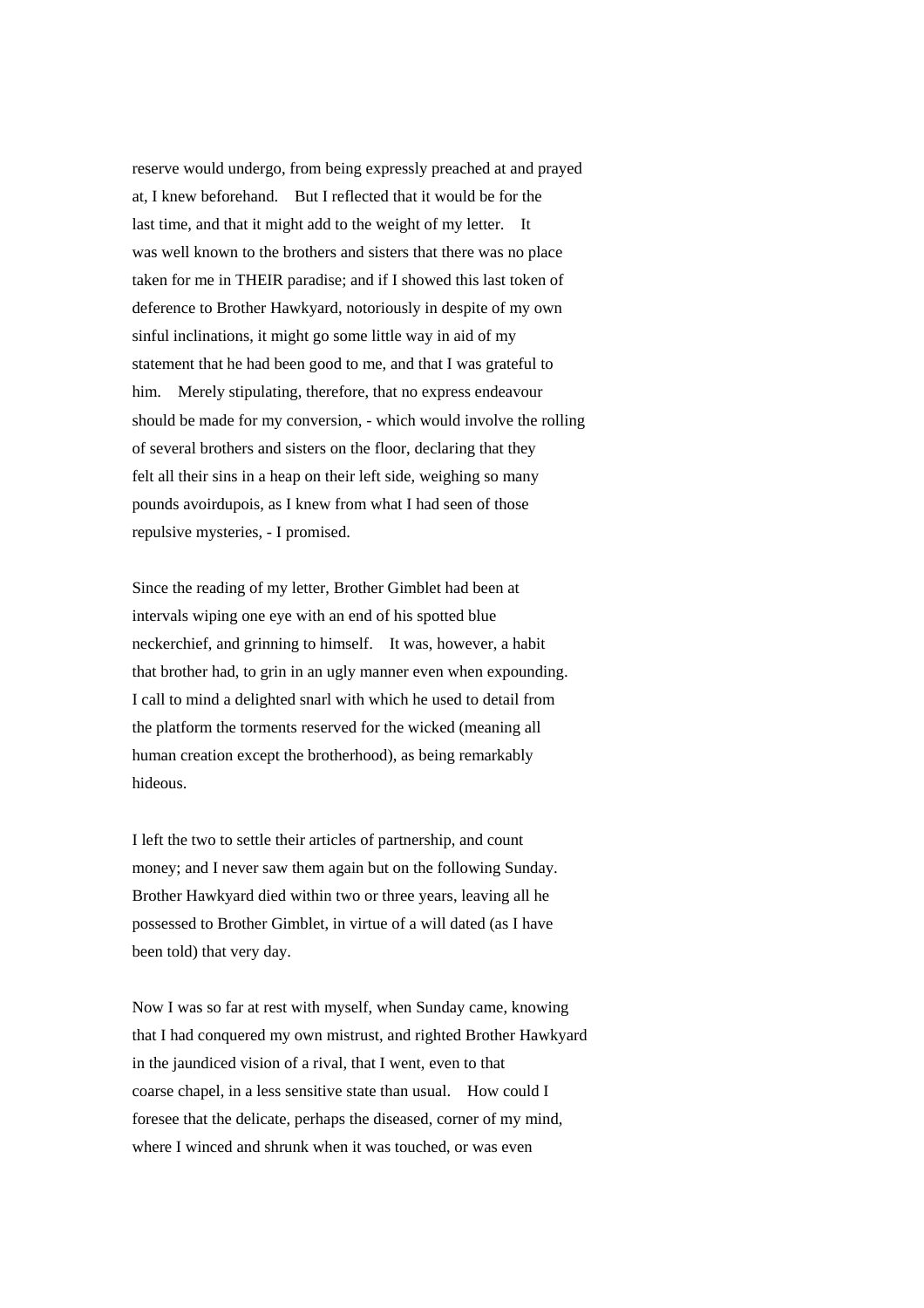reserve would undergo, from being expressly preached at and prayed at, I knew beforehand. But I reflected that it would be for the last time, and that it might add to the weight of my letter. It was well known to the brothers and sisters that there was no place taken for me in THEIR paradise; and if I showed this last token of deference to Brother Hawkyard, notoriously in despite of my own sinful inclinations, it might go some little way in aid of my statement that he had been good to me, and that I was grateful to him. Merely stipulating, therefore, that no express endeavour should be made for my conversion, - which would involve the rolling of several brothers and sisters on the floor, declaring that they felt all their sins in a heap on their left side, weighing so many pounds avoirdupois, as I knew from what I had seen of those repulsive mysteries, - I promised.

Since the reading of my letter, Brother Gimblet had been at intervals wiping one eye with an end of his spotted blue neckerchief, and grinning to himself. It was, however, a habit that brother had, to grin in an ugly manner even when expounding. I call to mind a delighted snarl with which he used to detail from the platform the torments reserved for the wicked (meaning all human creation except the brotherhood), as being remarkably hideous.

I left the two to settle their articles of partnership, and count money; and I never saw them again but on the following Sunday. Brother Hawkyard died within two or three years, leaving all he possessed to Brother Gimblet, in virtue of a will dated (as I have been told) that very day.

Now I was so far at rest with myself, when Sunday came, knowing that I had conquered my own mistrust, and righted Brother Hawkyard in the jaundiced vision of a rival, that I went, even to that coarse chapel, in a less sensitive state than usual. How could I foresee that the delicate, perhaps the diseased, corner of my mind, where I winced and shrunk when it was touched, or was even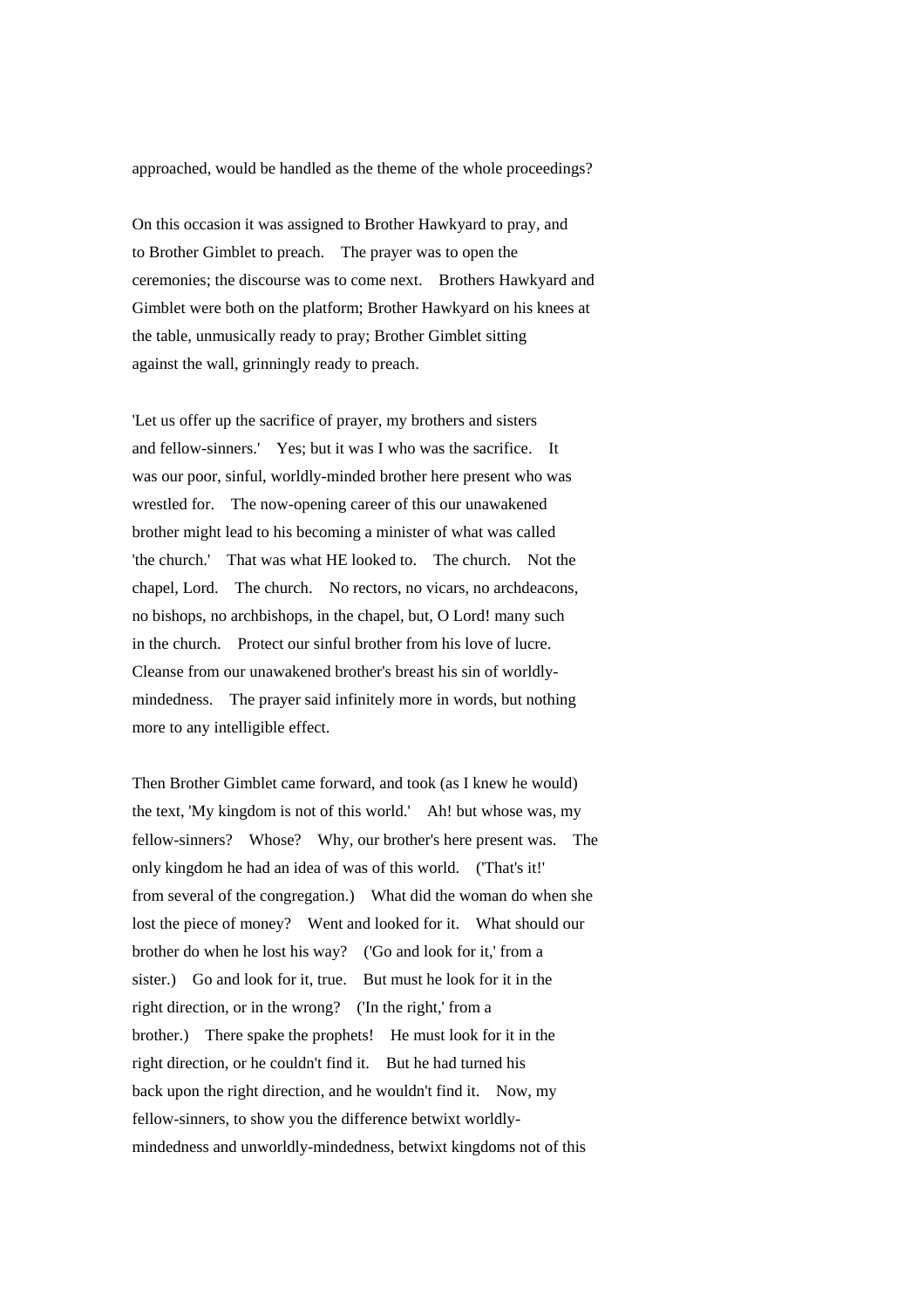#### approached, would be handled as the theme of the whole proceedings?

On this occasion it was assigned to Brother Hawkyard to pray, and to Brother Gimblet to preach. The prayer was to open the ceremonies; the discourse was to come next. Brothers Hawkyard and Gimblet were both on the platform; Brother Hawkyard on his knees at the table, unmusically ready to pray; Brother Gimblet sitting against the wall, grinningly ready to preach.

'Let us offer up the sacrifice of prayer, my brothers and sisters and fellow-sinners.' Yes; but it was I who was the sacrifice. It was our poor, sinful, worldly-minded brother here present who was wrestled for. The now-opening career of this our unawakened brother might lead to his becoming a minister of what was called 'the church.' That was what HE looked to. The church. Not the chapel, Lord. The church. No rectors, no vicars, no archdeacons, no bishops, no archbishops, in the chapel, but, O Lord! many such in the church. Protect our sinful brother from his love of lucre. Cleanse from our unawakened brother's breast his sin of worldlymindedness. The prayer said infinitely more in words, but nothing more to any intelligible effect.

Then Brother Gimblet came forward, and took (as I knew he would) the text, 'My kingdom is not of this world.' Ah! but whose was, my fellow-sinners? Whose? Why, our brother's here present was. The only kingdom he had an idea of was of this world. ('That's it!' from several of the congregation.) What did the woman do when she lost the piece of money? Went and looked for it. What should our brother do when he lost his way? ('Go and look for it,' from a sister.) Go and look for it, true. But must he look for it in the right direction, or in the wrong? ('In the right,' from a brother.) There spake the prophets! He must look for it in the right direction, or he couldn't find it. But he had turned his back upon the right direction, and he wouldn't find it. Now, my fellow-sinners, to show you the difference betwixt worldlymindedness and unworldly-mindedness, betwixt kingdoms not of this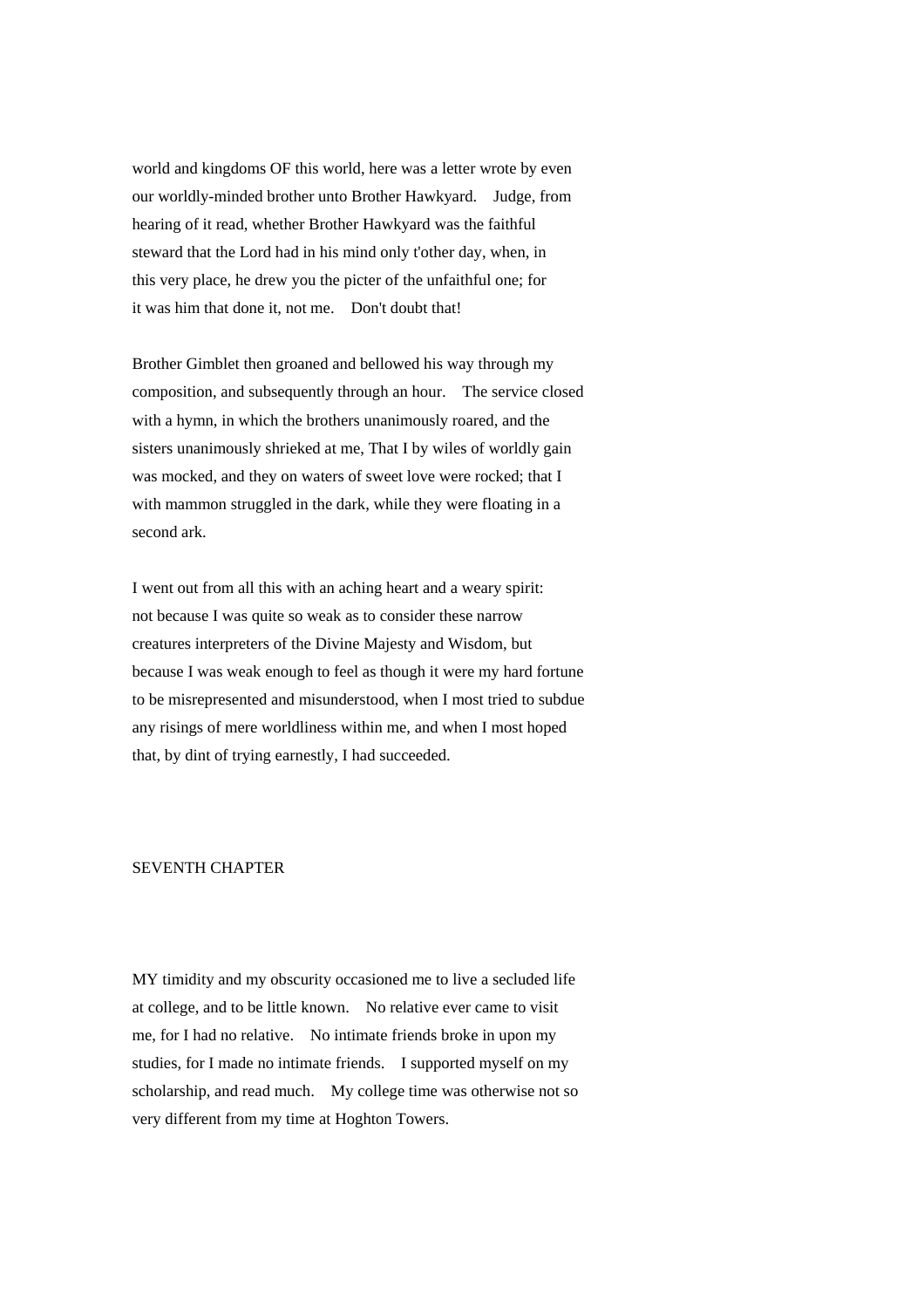world and kingdoms OF this world, here was a letter wrote by even our worldly-minded brother unto Brother Hawkyard. Judge, from hearing of it read, whether Brother Hawkyard was the faithful steward that the Lord had in his mind only t'other day, when, in this very place, he drew you the picter of the unfaithful one; for it was him that done it, not me. Don't doubt that!

Brother Gimblet then groaned and bellowed his way through my composition, and subsequently through an hour. The service closed with a hymn, in which the brothers unanimously roared, and the sisters unanimously shrieked at me, That I by wiles of worldly gain was mocked, and they on waters of sweet love were rocked; that I with mammon struggled in the dark, while they were floating in a second ark.

I went out from all this with an aching heart and a weary spirit: not because I was quite so weak as to consider these narrow creatures interpreters of the Divine Majesty and Wisdom, but because I was weak enough to feel as though it were my hard fortune to be misrepresented and misunderstood, when I most tried to subdue any risings of mere worldliness within me, and when I most hoped that, by dint of trying earnestly, I had succeeded.

#### SEVENTH CHAPTER

MY timidity and my obscurity occasioned me to live a secluded life at college, and to be little known. No relative ever came to visit me, for I had no relative. No intimate friends broke in upon my studies, for I made no intimate friends. I supported myself on my scholarship, and read much. My college time was otherwise not so very different from my time at Hoghton Towers.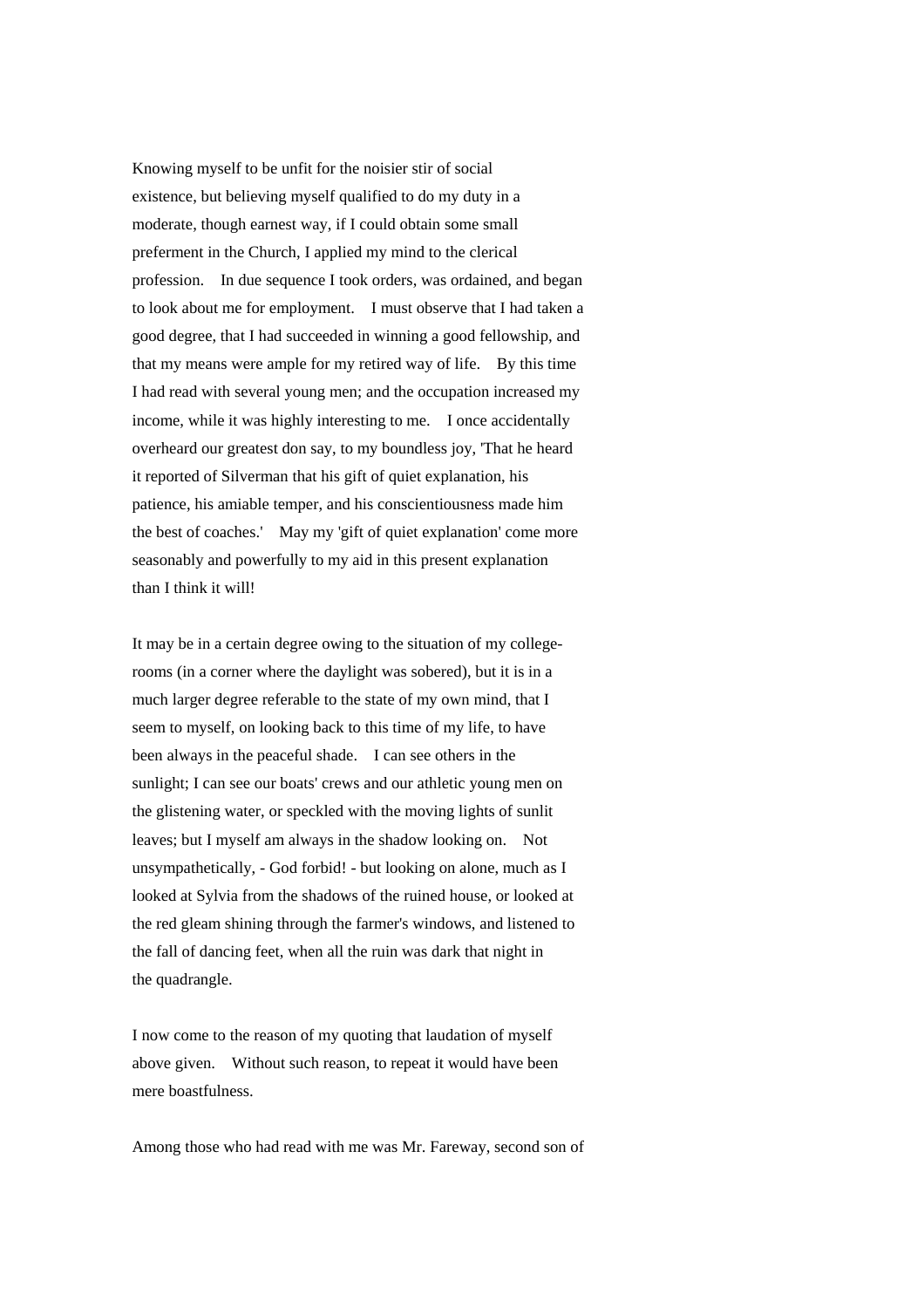Knowing myself to be unfit for the noisier stir of social existence, but believing myself qualified to do my duty in a moderate, though earnest way, if I could obtain some small preferment in the Church, I applied my mind to the clerical profession. In due sequence I took orders, was ordained, and began to look about me for employment. I must observe that I had taken a good degree, that I had succeeded in winning a good fellowship, and that my means were ample for my retired way of life. By this time I had read with several young men; and the occupation increased my income, while it was highly interesting to me. I once accidentally overheard our greatest don say, to my boundless joy, 'That he heard it reported of Silverman that his gift of quiet explanation, his patience, his amiable temper, and his conscientiousness made him the best of coaches.' May my 'gift of quiet explanation' come more seasonably and powerfully to my aid in this present explanation than I think it will!

It may be in a certain degree owing to the situation of my collegerooms (in a corner where the daylight was sobered), but it is in a much larger degree referable to the state of my own mind, that I seem to myself, on looking back to this time of my life, to have been always in the peaceful shade. I can see others in the sunlight; I can see our boats' crews and our athletic young men on the glistening water, or speckled with the moving lights of sunlit leaves; but I myself am always in the shadow looking on. Not unsympathetically, - God forbid! - but looking on alone, much as I looked at Sylvia from the shadows of the ruined house, or looked at the red gleam shining through the farmer's windows, and listened to the fall of dancing feet, when all the ruin was dark that night in the quadrangle.

I now come to the reason of my quoting that laudation of myself above given. Without such reason, to repeat it would have been mere boastfulness.

Among those who had read with me was Mr. Fareway, second son of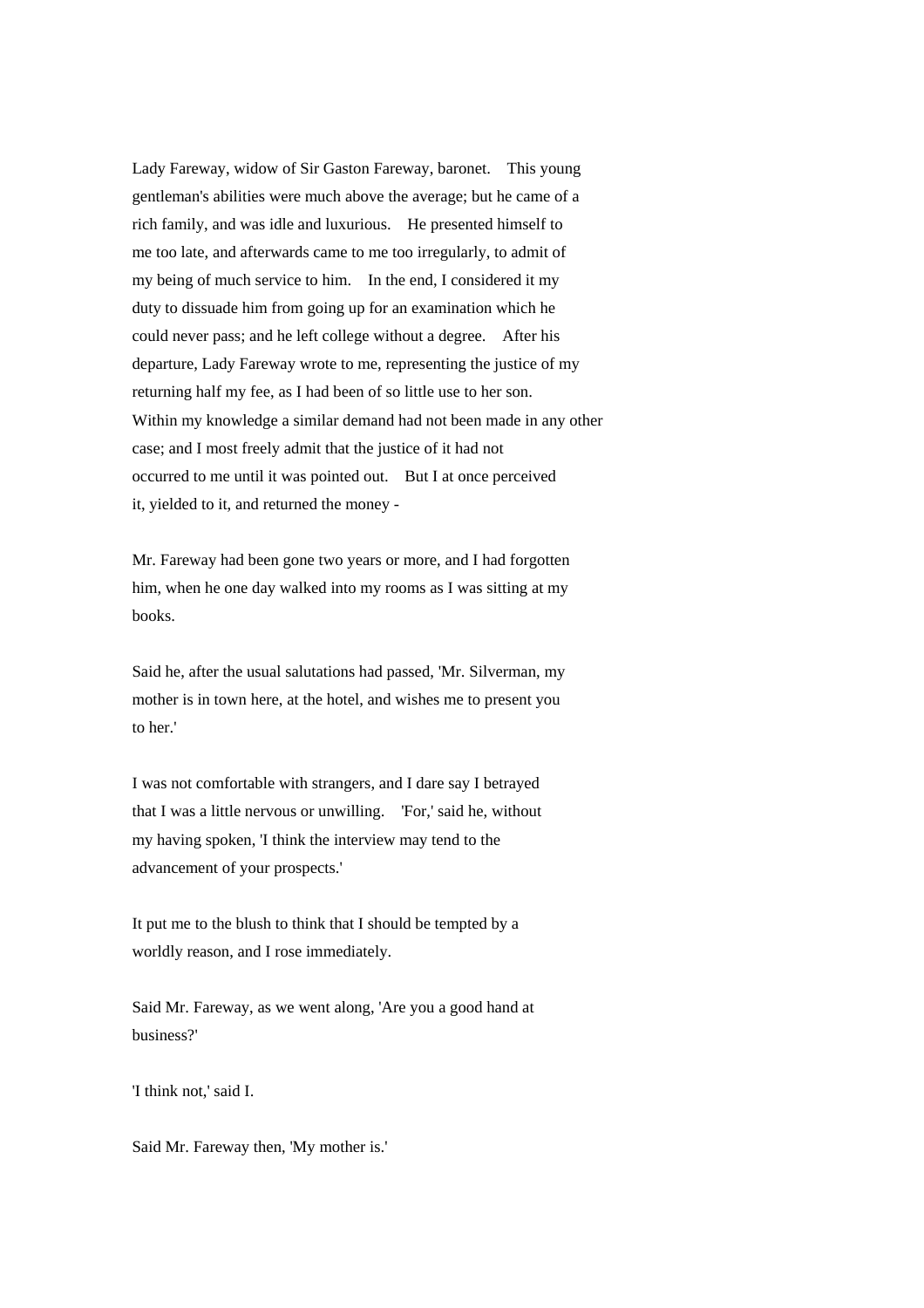Lady Fareway, widow of Sir Gaston Fareway, baronet. This young gentleman's abilities were much above the average; but he came of a rich family, and was idle and luxurious. He presented himself to me too late, and afterwards came to me too irregularly, to admit of my being of much service to him. In the end, I considered it my duty to dissuade him from going up for an examination which he could never pass; and he left college without a degree. After his departure, Lady Fareway wrote to me, representing the justice of my returning half my fee, as I had been of so little use to her son. Within my knowledge a similar demand had not been made in any other case; and I most freely admit that the justice of it had not occurred to me until it was pointed out. But I at once perceived it, yielded to it, and returned the money -

Mr. Fareway had been gone two years or more, and I had forgotten him, when he one day walked into my rooms as I was sitting at my books.

Said he, after the usual salutations had passed, 'Mr. Silverman, my mother is in town here, at the hotel, and wishes me to present you to her.'

I was not comfortable with strangers, and I dare say I betrayed that I was a little nervous or unwilling. 'For,' said he, without my having spoken, 'I think the interview may tend to the advancement of your prospects.'

It put me to the blush to think that I should be tempted by a worldly reason, and I rose immediately.

Said Mr. Fareway, as we went along, 'Are you a good hand at business?'

'I think not,' said I.

Said Mr. Fareway then, 'My mother is.'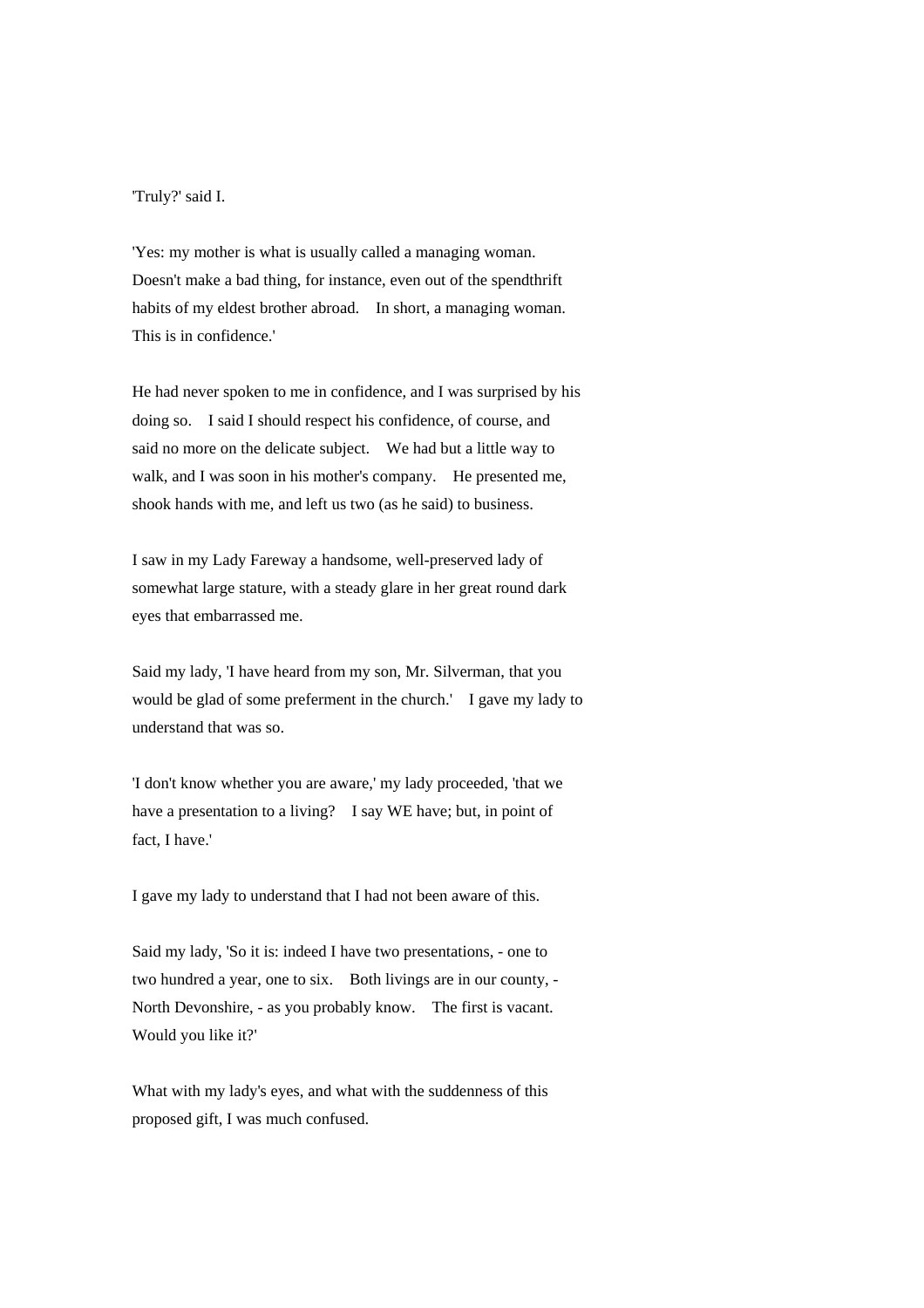# 'Truly?' said I.

'Yes: my mother is what is usually called a managing woman. Doesn't make a bad thing, for instance, even out of the spendthrift habits of my eldest brother abroad. In short, a managing woman. This is in confidence.'

He had never spoken to me in confidence, and I was surprised by his doing so. I said I should respect his confidence, of course, and said no more on the delicate subject. We had but a little way to walk, and I was soon in his mother's company. He presented me, shook hands with me, and left us two (as he said) to business.

I saw in my Lady Fareway a handsome, well-preserved lady of somewhat large stature, with a steady glare in her great round dark eyes that embarrassed me.

Said my lady, 'I have heard from my son, Mr. Silverman, that you would be glad of some preferment in the church.' I gave my lady to understand that was so.

'I don't know whether you are aware,' my lady proceeded, 'that we have a presentation to a living? I say WE have; but, in point of fact, I have.'

I gave my lady to understand that I had not been aware of this.

Said my lady, 'So it is: indeed I have two presentations, - one to two hundred a year, one to six. Both livings are in our county, - North Devonshire, - as you probably know. The first is vacant. Would you like it?'

What with my lady's eyes, and what with the suddenness of this proposed gift, I was much confused.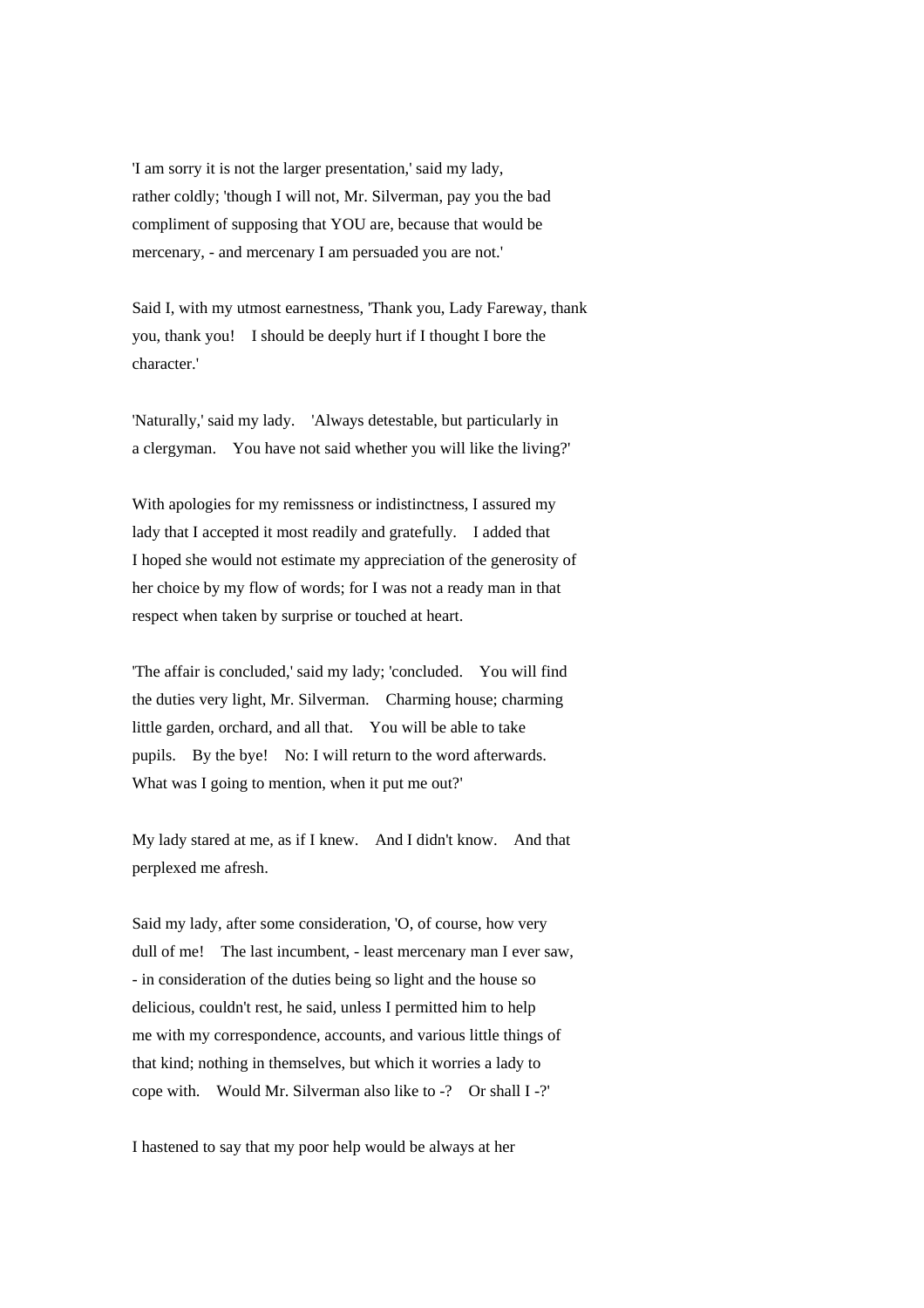'I am sorry it is not the larger presentation,' said my lady, rather coldly; 'though I will not, Mr. Silverman, pay you the bad compliment of supposing that YOU are, because that would be mercenary, - and mercenary I am persuaded you are not.'

Said I, with my utmost earnestness, 'Thank you, Lady Fareway, thank you, thank you! I should be deeply hurt if I thought I bore the character.'

'Naturally,' said my lady. 'Always detestable, but particularly in a clergyman. You have not said whether you will like the living?'

With apologies for my remissness or indistinctness, I assured my lady that I accepted it most readily and gratefully. I added that I hoped she would not estimate my appreciation of the generosity of her choice by my flow of words; for I was not a ready man in that respect when taken by surprise or touched at heart.

'The affair is concluded,' said my lady; 'concluded. You will find the duties very light, Mr. Silverman. Charming house; charming little garden, orchard, and all that. You will be able to take pupils. By the bye! No: I will return to the word afterwards. What was I going to mention, when it put me out?'

My lady stared at me, as if I knew. And I didn't know. And that perplexed me afresh.

Said my lady, after some consideration, 'O, of course, how very dull of me! The last incumbent, - least mercenary man I ever saw, - in consideration of the duties being so light and the house so delicious, couldn't rest, he said, unless I permitted him to help me with my correspondence, accounts, and various little things of that kind; nothing in themselves, but which it worries a lady to cope with. Would Mr. Silverman also like to -? Or shall I -?'

I hastened to say that my poor help would be always at her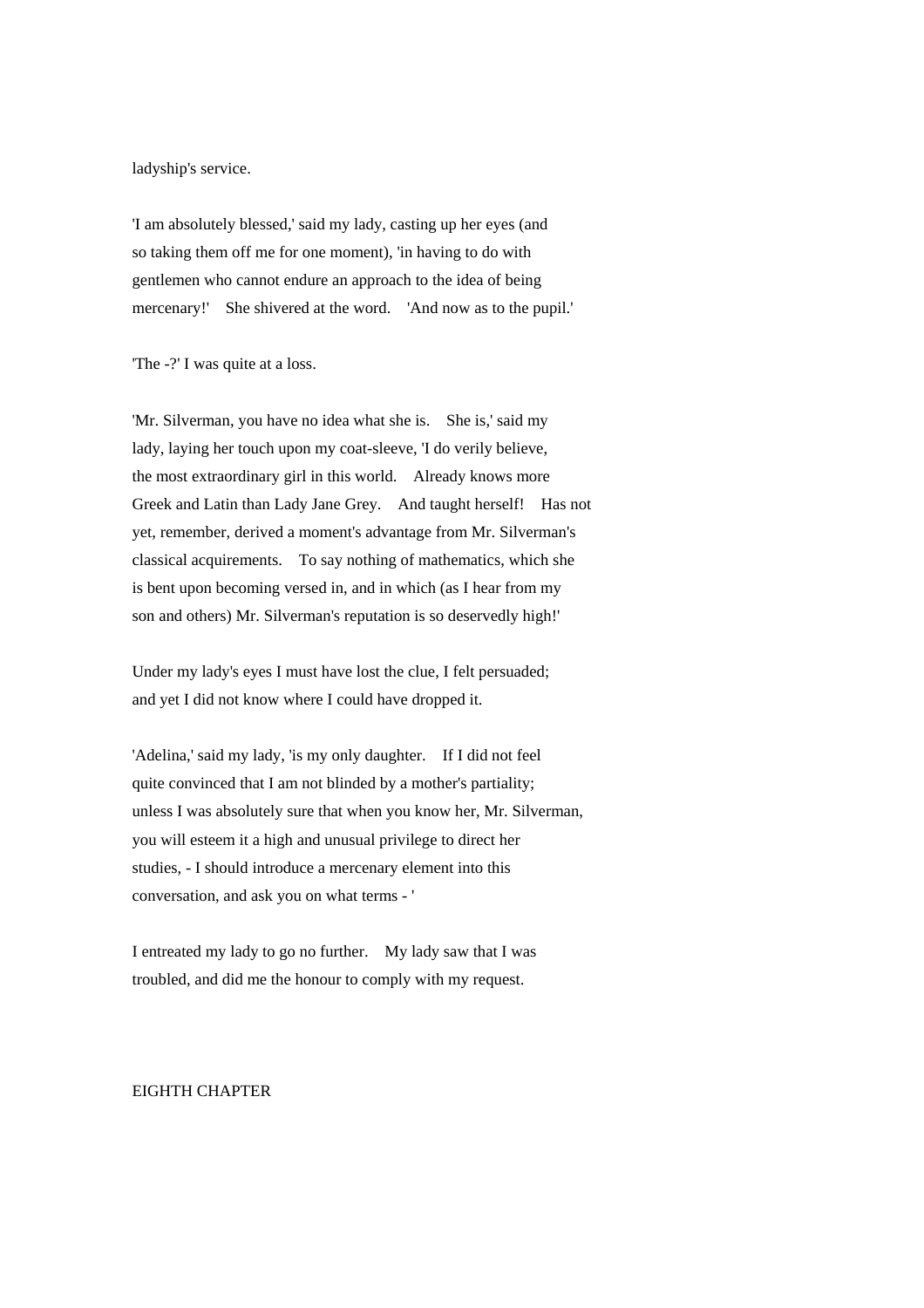ladyship's service.

'I am absolutely blessed,' said my lady, casting up her eyes (and so taking them off me for one moment), 'in having to do with gentlemen who cannot endure an approach to the idea of being mercenary!' She shivered at the word. 'And now as to the pupil.'

'The -?' I was quite at a loss.

'Mr. Silverman, you have no idea what she is. She is,' said my lady, laying her touch upon my coat-sleeve, 'I do verily believe, the most extraordinary girl in this world. Already knows more Greek and Latin than Lady Jane Grey. And taught herself! Has not yet, remember, derived a moment's advantage from Mr. Silverman's classical acquirements. To say nothing of mathematics, which she is bent upon becoming versed in, and in which (as I hear from my son and others) Mr. Silverman's reputation is so deservedly high!'

Under my lady's eyes I must have lost the clue, I felt persuaded; and yet I did not know where I could have dropped it.

'Adelina,' said my lady, 'is my only daughter. If I did not feel quite convinced that I am not blinded by a mother's partiality; unless I was absolutely sure that when you know her, Mr. Silverman, you will esteem it a high and unusual privilege to direct her studies, - I should introduce a mercenary element into this conversation, and ask you on what terms - '

I entreated my lady to go no further. My lady saw that I was troubled, and did me the honour to comply with my request.

#### EIGHTH CHAPTER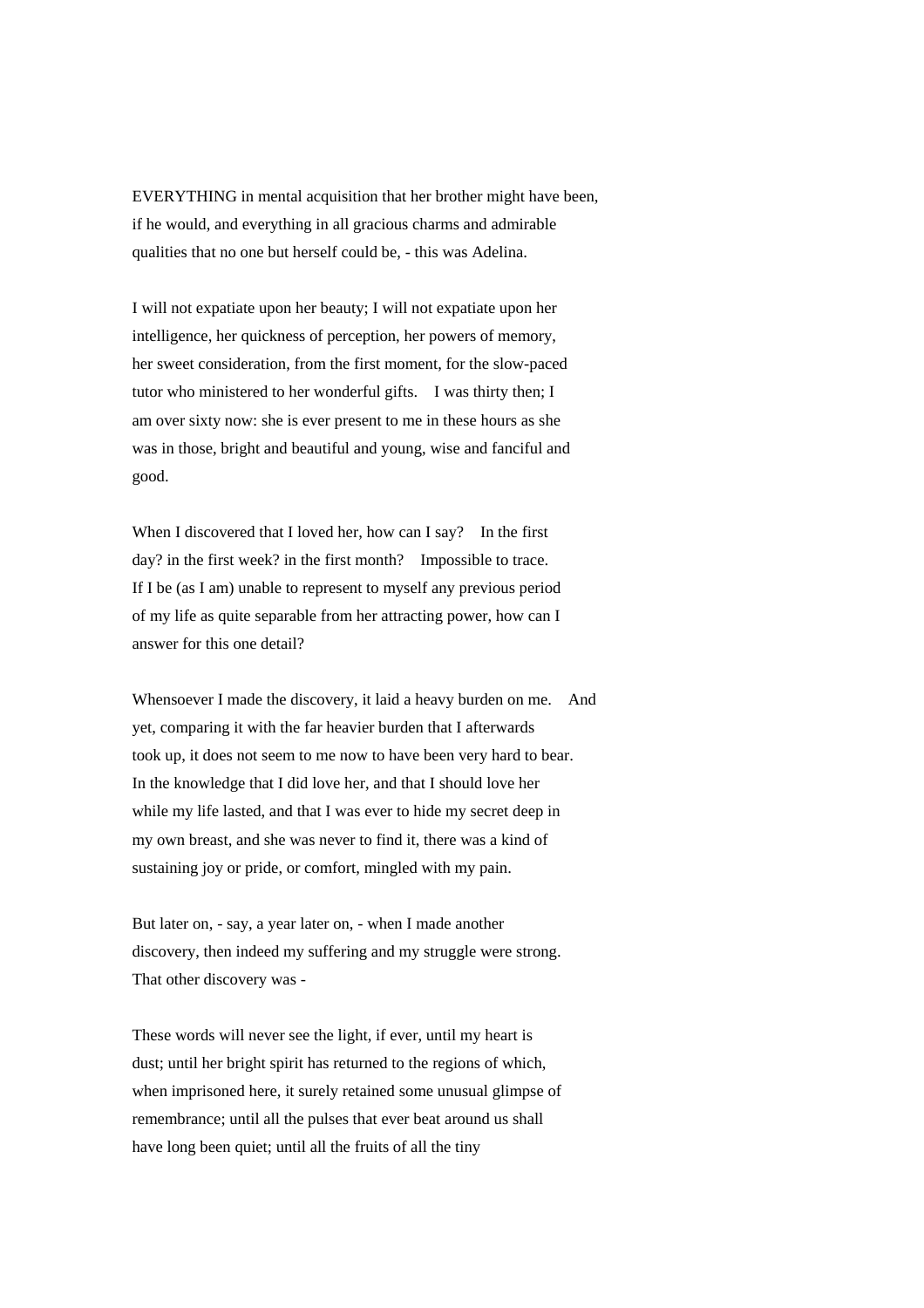EVERYTHING in mental acquisition that her brother might have been, if he would, and everything in all gracious charms and admirable qualities that no one but herself could be, - this was Adelina.

I will not expatiate upon her beauty; I will not expatiate upon her intelligence, her quickness of perception, her powers of memory, her sweet consideration, from the first moment, for the slow-paced tutor who ministered to her wonderful gifts. I was thirty then; I am over sixty now: she is ever present to me in these hours as she was in those, bright and beautiful and young, wise and fanciful and good.

When I discovered that I loved her, how can I say? In the first day? in the first week? in the first month? Impossible to trace. If I be (as I am) unable to represent to myself any previous period of my life as quite separable from her attracting power, how can I answer for this one detail?

Whensoever I made the discovery, it laid a heavy burden on me. And yet, comparing it with the far heavier burden that I afterwards took up, it does not seem to me now to have been very hard to bear. In the knowledge that I did love her, and that I should love her while my life lasted, and that I was ever to hide my secret deep in my own breast, and she was never to find it, there was a kind of sustaining joy or pride, or comfort, mingled with my pain.

But later on, - say, a year later on, - when I made another discovery, then indeed my suffering and my struggle were strong. That other discovery was -

These words will never see the light, if ever, until my heart is dust; until her bright spirit has returned to the regions of which, when imprisoned here, it surely retained some unusual glimpse of remembrance; until all the pulses that ever beat around us shall have long been quiet; until all the fruits of all the tiny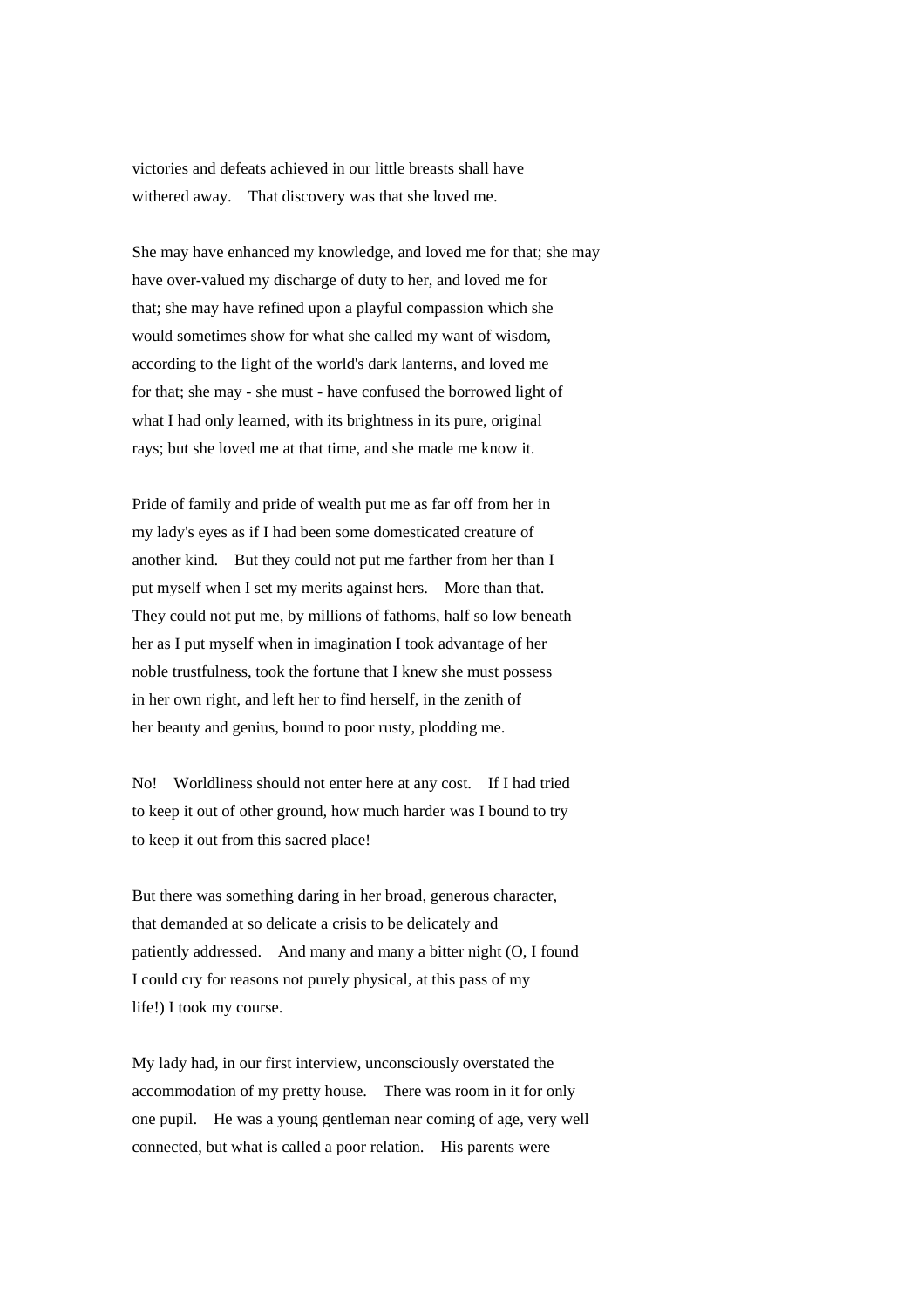victories and defeats achieved in our little breasts shall have withered away. That discovery was that she loved me.

She may have enhanced my knowledge, and loved me for that; she may have over-valued my discharge of duty to her, and loved me for that; she may have refined upon a playful compassion which she would sometimes show for what she called my want of wisdom, according to the light of the world's dark lanterns, and loved me for that; she may - she must - have confused the borrowed light of what I had only learned, with its brightness in its pure, original rays; but she loved me at that time, and she made me know it.

Pride of family and pride of wealth put me as far off from her in my lady's eyes as if I had been some domesticated creature of another kind. But they could not put me farther from her than I put myself when I set my merits against hers. More than that. They could not put me, by millions of fathoms, half so low beneath her as I put myself when in imagination I took advantage of her noble trustfulness, took the fortune that I knew she must possess in her own right, and left her to find herself, in the zenith of her beauty and genius, bound to poor rusty, plodding me.

No! Worldliness should not enter here at any cost. If I had tried to keep it out of other ground, how much harder was I bound to try to keep it out from this sacred place!

But there was something daring in her broad, generous character, that demanded at so delicate a crisis to be delicately and patiently addressed. And many and many a bitter night (O, I found I could cry for reasons not purely physical, at this pass of my life!) I took my course.

My lady had, in our first interview, unconsciously overstated the accommodation of my pretty house. There was room in it for only one pupil. He was a young gentleman near coming of age, very well connected, but what is called a poor relation. His parents were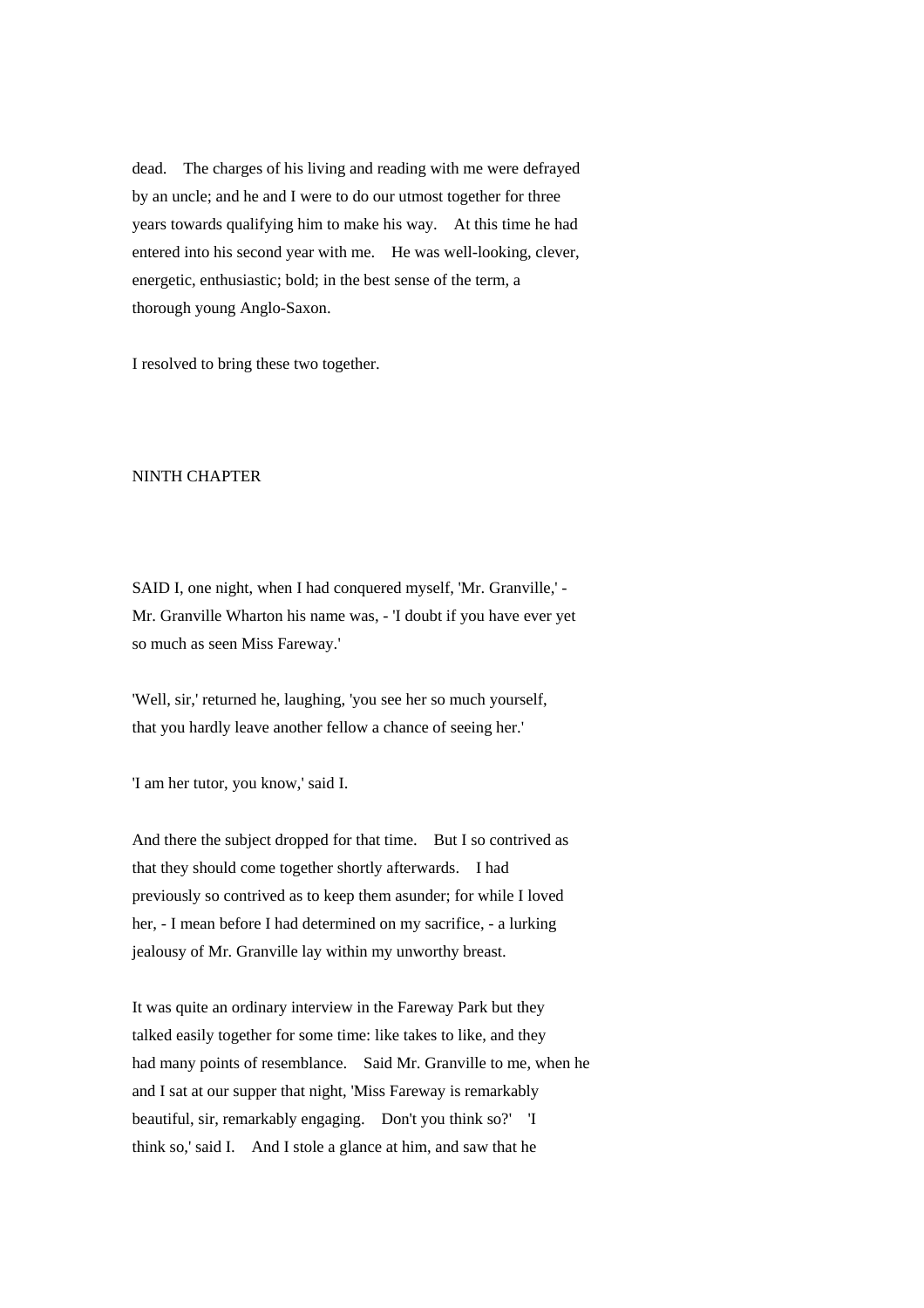dead. The charges of his living and reading with me were defrayed by an uncle; and he and I were to do our utmost together for three years towards qualifying him to make his way. At this time he had entered into his second year with me. He was well-looking, clever, energetic, enthusiastic; bold; in the best sense of the term, a thorough young Anglo-Saxon.

I resolved to bring these two together.

### NINTH CHAPTER

SAID I, one night, when I had conquered myself, 'Mr. Granville,' - Mr. Granville Wharton his name was, - 'I doubt if you have ever yet so much as seen Miss Fareway.'

'Well, sir,' returned he, laughing, 'you see her so much yourself, that you hardly leave another fellow a chance of seeing her.'

'I am her tutor, you know,' said I.

And there the subject dropped for that time. But I so contrived as that they should come together shortly afterwards. I had previously so contrived as to keep them asunder; for while I loved her, - I mean before I had determined on my sacrifice, - a lurking jealousy of Mr. Granville lay within my unworthy breast.

It was quite an ordinary interview in the Fareway Park but they talked easily together for some time: like takes to like, and they had many points of resemblance. Said Mr. Granville to me, when he and I sat at our supper that night, 'Miss Fareway is remarkably beautiful, sir, remarkably engaging. Don't you think so?' 'I think so,' said I. And I stole a glance at him, and saw that he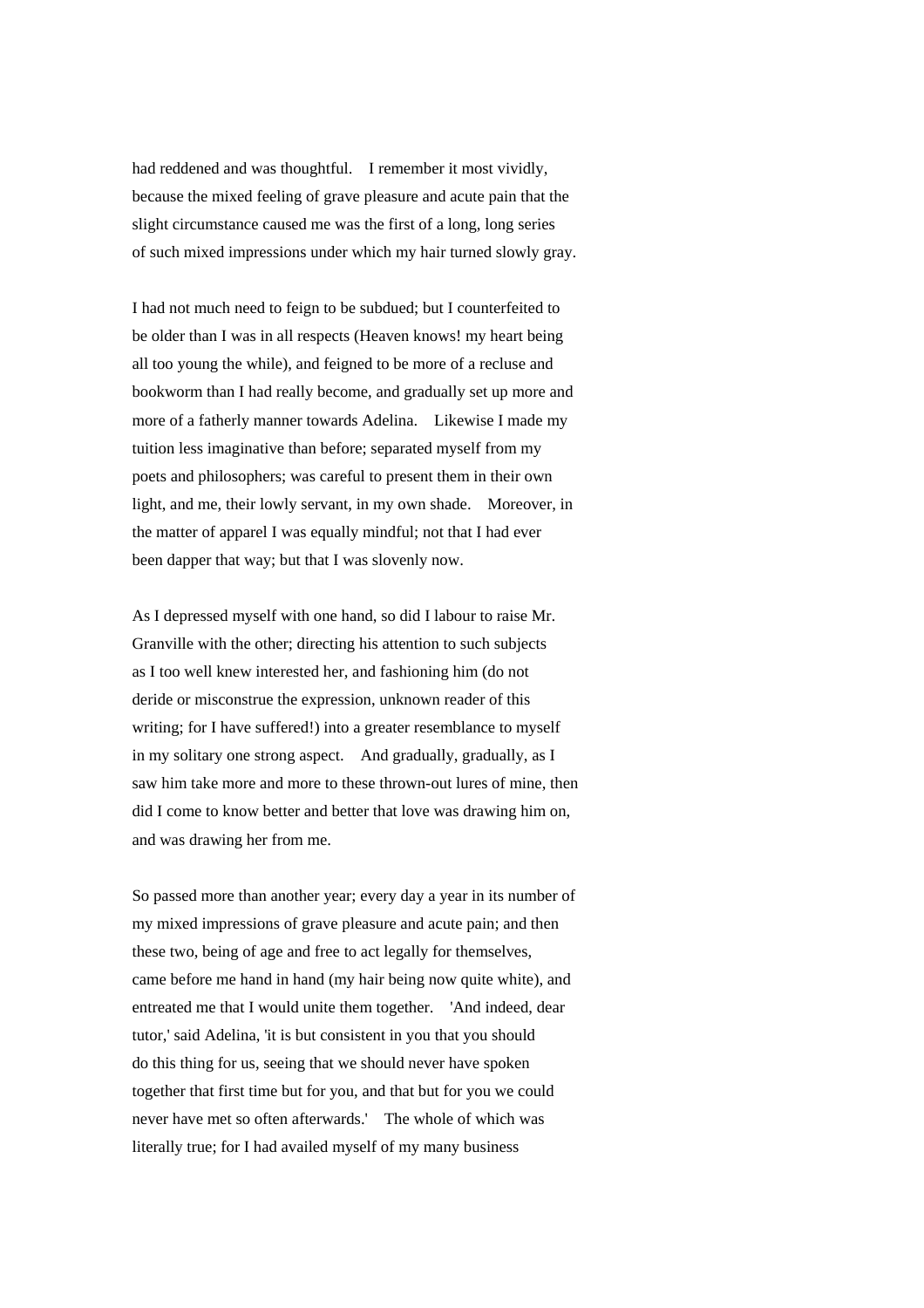had reddened and was thoughtful. I remember it most vividly, because the mixed feeling of grave pleasure and acute pain that the slight circumstance caused me was the first of a long, long series of such mixed impressions under which my hair turned slowly gray.

I had not much need to feign to be subdued; but I counterfeited to be older than I was in all respects (Heaven knows! my heart being all too young the while), and feigned to be more of a recluse and bookworm than I had really become, and gradually set up more and more of a fatherly manner towards Adelina. Likewise I made my tuition less imaginative than before; separated myself from my poets and philosophers; was careful to present them in their own light, and me, their lowly servant, in my own shade. Moreover, in the matter of apparel I was equally mindful; not that I had ever been dapper that way; but that I was slovenly now.

As I depressed myself with one hand, so did I labour to raise Mr. Granville with the other; directing his attention to such subjects as I too well knew interested her, and fashioning him (do not deride or misconstrue the expression, unknown reader of this writing; for I have suffered!) into a greater resemblance to myself in my solitary one strong aspect. And gradually, gradually, as I saw him take more and more to these thrown-out lures of mine, then did I come to know better and better that love was drawing him on, and was drawing her from me.

So passed more than another year; every day a year in its number of my mixed impressions of grave pleasure and acute pain; and then these two, being of age and free to act legally for themselves, came before me hand in hand (my hair being now quite white), and entreated me that I would unite them together. 'And indeed, dear tutor,' said Adelina, 'it is but consistent in you that you should do this thing for us, seeing that we should never have spoken together that first time but for you, and that but for you we could never have met so often afterwards.' The whole of which was literally true; for I had availed myself of my many business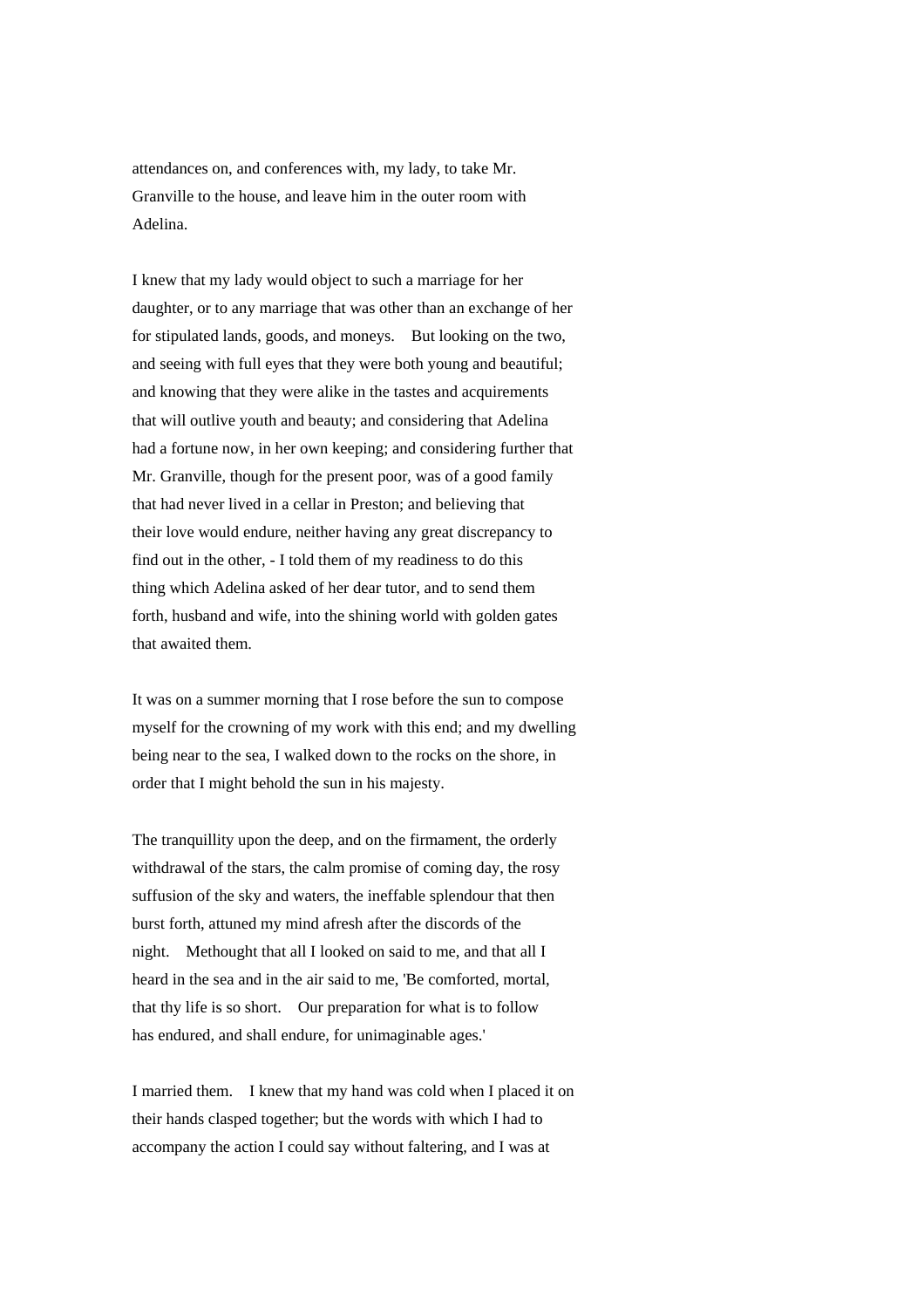attendances on, and conferences with, my lady, to take Mr. Granville to the house, and leave him in the outer room with Adelina.

I knew that my lady would object to such a marriage for her daughter, or to any marriage that was other than an exchange of her for stipulated lands, goods, and moneys. But looking on the two, and seeing with full eyes that they were both young and beautiful; and knowing that they were alike in the tastes and acquirements that will outlive youth and beauty; and considering that Adelina had a fortune now, in her own keeping; and considering further that Mr. Granville, though for the present poor, was of a good family that had never lived in a cellar in Preston; and believing that their love would endure, neither having any great discrepancy to find out in the other, - I told them of my readiness to do this thing which Adelina asked of her dear tutor, and to send them forth, husband and wife, into the shining world with golden gates that awaited them.

It was on a summer morning that I rose before the sun to compose myself for the crowning of my work with this end; and my dwelling being near to the sea, I walked down to the rocks on the shore, in order that I might behold the sun in his majesty.

The tranquillity upon the deep, and on the firmament, the orderly withdrawal of the stars, the calm promise of coming day, the rosy suffusion of the sky and waters, the ineffable splendour that then burst forth, attuned my mind afresh after the discords of the night. Methought that all I looked on said to me, and that all I heard in the sea and in the air said to me, 'Be comforted, mortal, that thy life is so short. Our preparation for what is to follow has endured, and shall endure, for unimaginable ages.'

I married them. I knew that my hand was cold when I placed it on their hands clasped together; but the words with which I had to accompany the action I could say without faltering, and I was at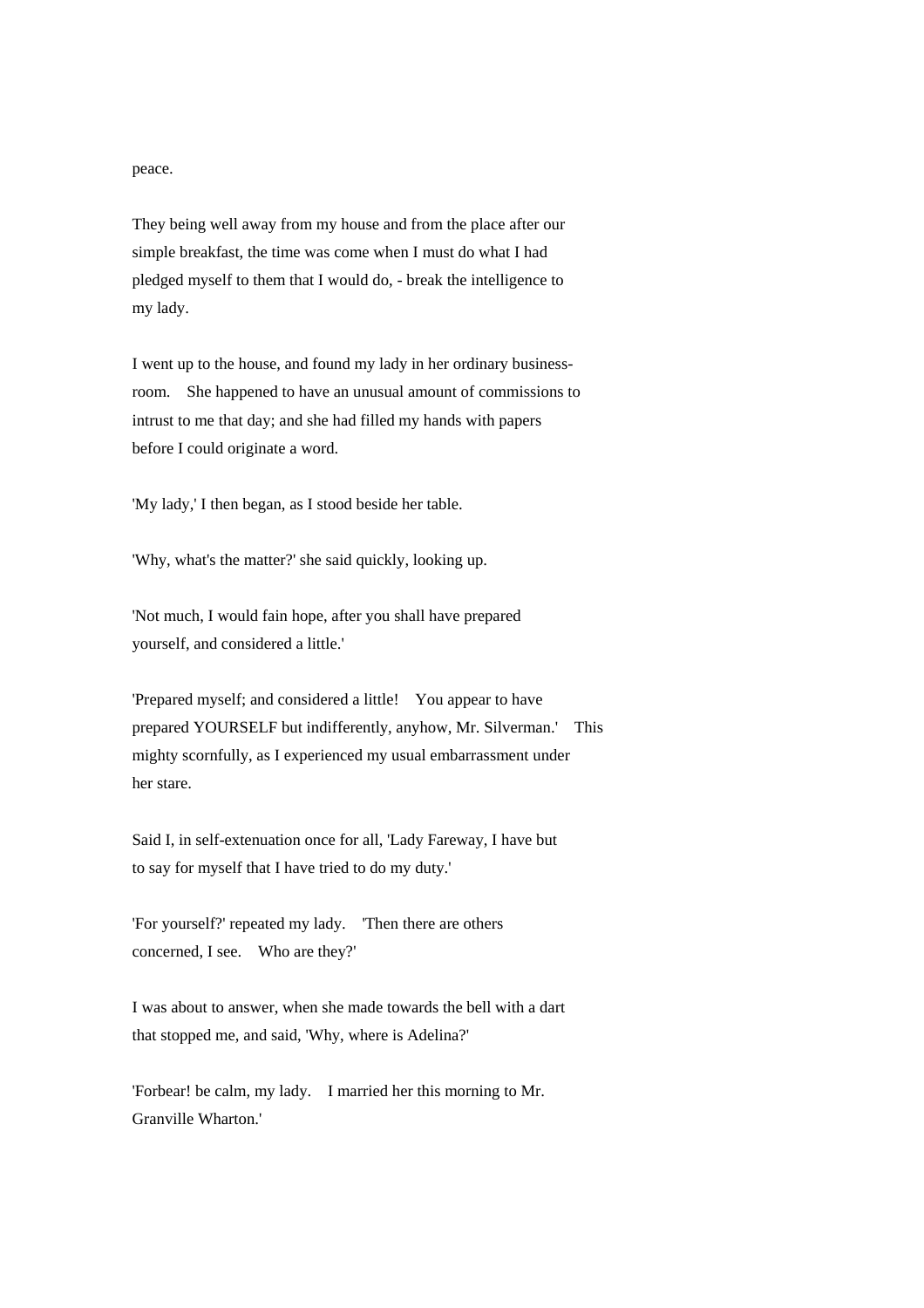peace.

They being well away from my house and from the place after our simple breakfast, the time was come when I must do what I had pledged myself to them that I would do, - break the intelligence to my lady.

I went up to the house, and found my lady in her ordinary businessroom. She happened to have an unusual amount of commissions to intrust to me that day; and she had filled my hands with papers before I could originate a word.

'My lady,' I then began, as I stood beside her table.

'Why, what's the matter?' she said quickly, looking up.

'Not much, I would fain hope, after you shall have prepared yourself, and considered a little.'

'Prepared myself; and considered a little! You appear to have prepared YOURSELF but indifferently, anyhow, Mr. Silverman.' This mighty scornfully, as I experienced my usual embarrassment under her stare.

Said I, in self-extenuation once for all, 'Lady Fareway, I have but to say for myself that I have tried to do my duty.'

'For yourself?' repeated my lady. 'Then there are others concerned, I see. Who are they?'

I was about to answer, when she made towards the bell with a dart that stopped me, and said, 'Why, where is Adelina?'

'Forbear! be calm, my lady. I married her this morning to Mr. Granville Wharton.'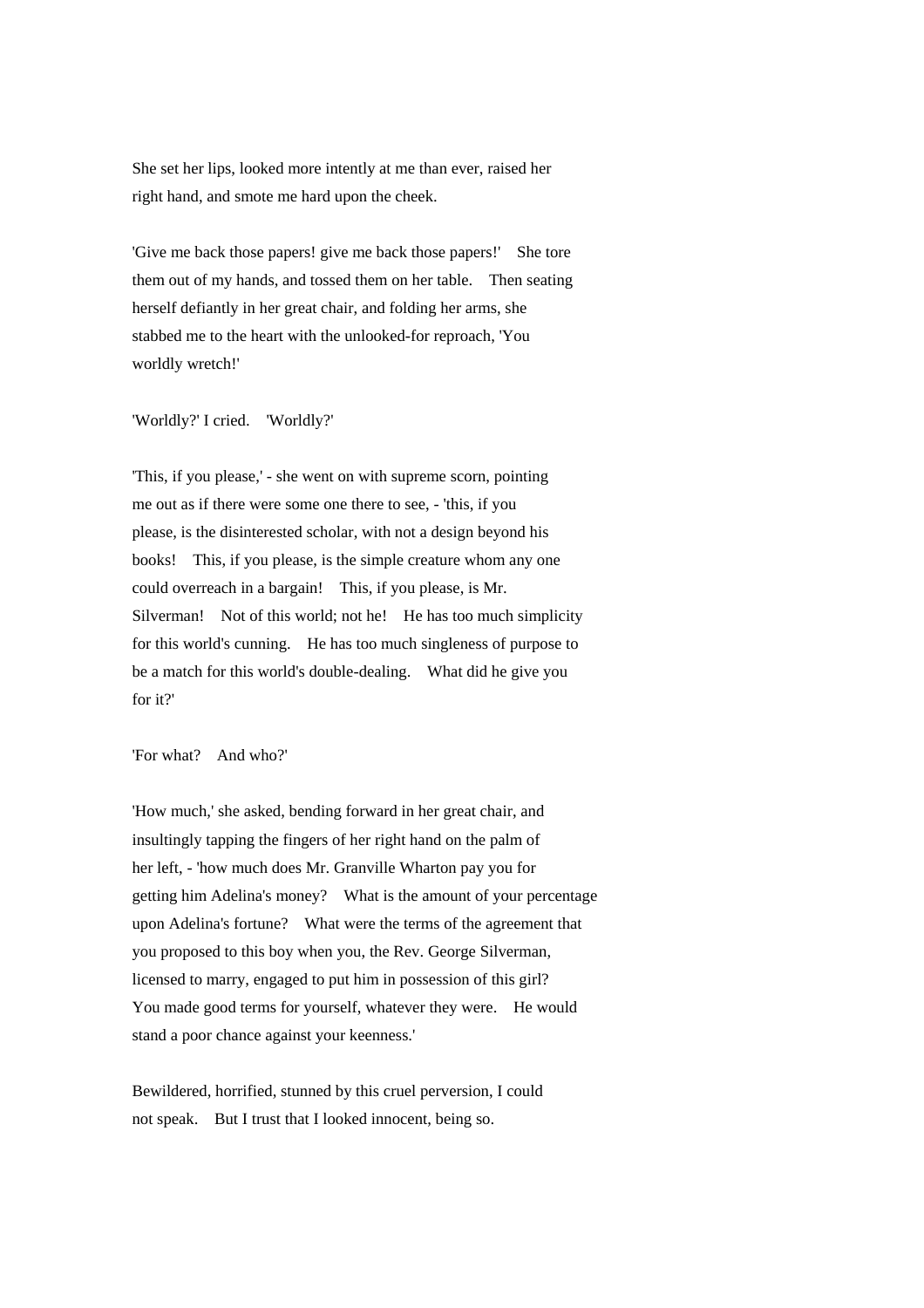She set her lips, looked more intently at me than ever, raised her right hand, and smote me hard upon the cheek.

'Give me back those papers! give me back those papers!' She tore them out of my hands, and tossed them on her table. Then seating herself defiantly in her great chair, and folding her arms, she stabbed me to the heart with the unlooked-for reproach, 'You worldly wretch!'

'Worldly?' I cried. 'Worldly?'

'This, if you please,' - she went on with supreme scorn, pointing me out as if there were some one there to see, - 'this, if you please, is the disinterested scholar, with not a design beyond his books! This, if you please, is the simple creature whom any one could overreach in a bargain! This, if you please, is Mr. Silverman! Not of this world; not he! He has too much simplicity for this world's cunning. He has too much singleness of purpose to be a match for this world's double-dealing. What did he give you for it?'

'For what? And who?'

'How much,' she asked, bending forward in her great chair, and insultingly tapping the fingers of her right hand on the palm of her left, - 'how much does Mr. Granville Wharton pay you for getting him Adelina's money? What is the amount of your percentage upon Adelina's fortune? What were the terms of the agreement that you proposed to this boy when you, the Rev. George Silverman, licensed to marry, engaged to put him in possession of this girl? You made good terms for yourself, whatever they were. He would stand a poor chance against your keenness.'

Bewildered, horrified, stunned by this cruel perversion, I could not speak. But I trust that I looked innocent, being so.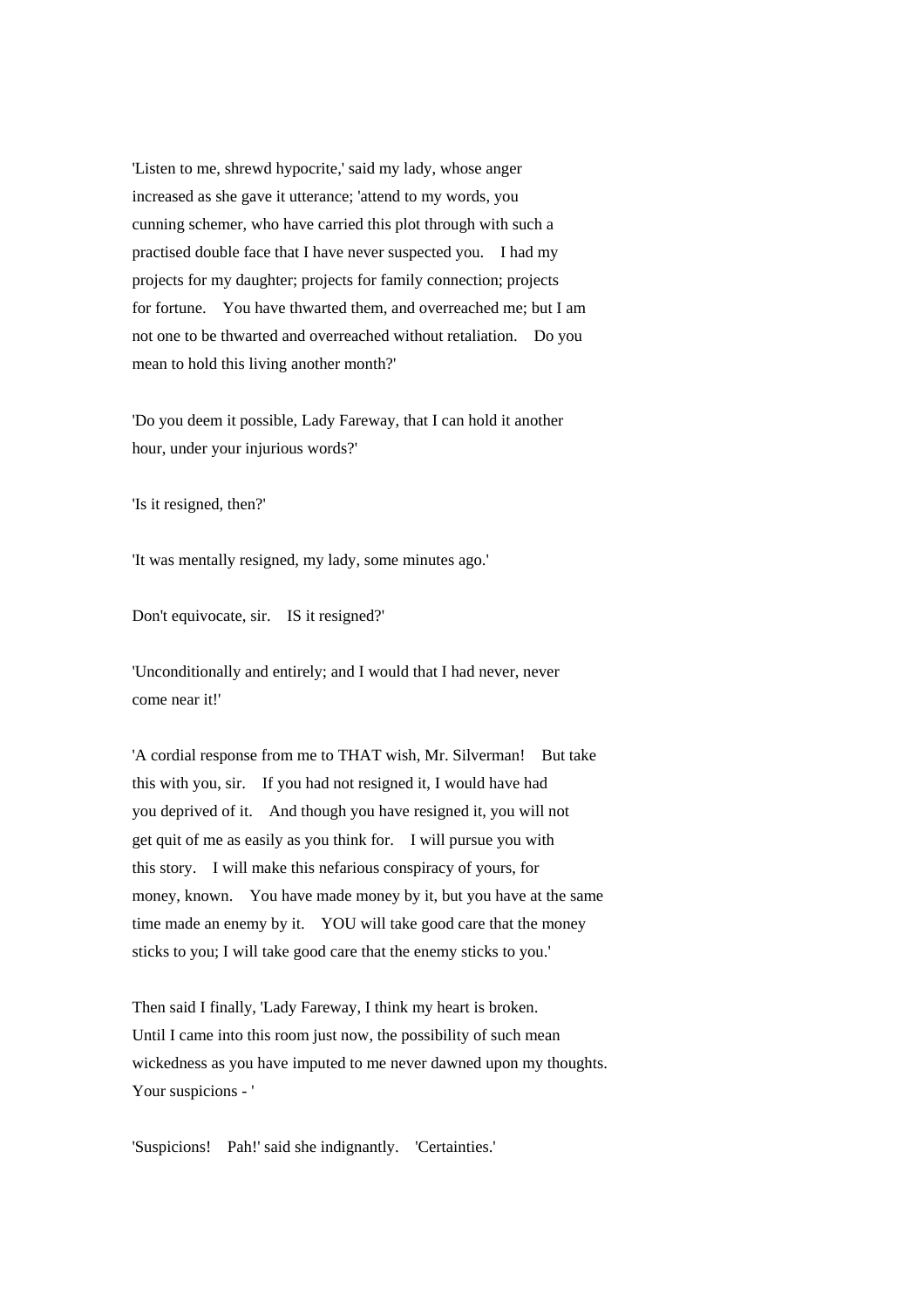'Listen to me, shrewd hypocrite,' said my lady, whose anger increased as she gave it utterance; 'attend to my words, you cunning schemer, who have carried this plot through with such a practised double face that I have never suspected you. I had my projects for my daughter; projects for family connection; projects for fortune. You have thwarted them, and overreached me; but I am not one to be thwarted and overreached without retaliation. Do you mean to hold this living another month?'

'Do you deem it possible, Lady Fareway, that I can hold it another hour, under your injurious words?'

'Is it resigned, then?'

'It was mentally resigned, my lady, some minutes ago.'

Don't equivocate, sir. IS it resigned?'

'Unconditionally and entirely; and I would that I had never, never come near it!'

'A cordial response from me to THAT wish, Mr. Silverman! But take this with you, sir. If you had not resigned it, I would have had you deprived of it. And though you have resigned it, you will not get quit of me as easily as you think for. I will pursue you with this story. I will make this nefarious conspiracy of yours, for money, known. You have made money by it, but you have at the same time made an enemy by it. YOU will take good care that the money sticks to you; I will take good care that the enemy sticks to you.'

Then said I finally, 'Lady Fareway, I think my heart is broken. Until I came into this room just now, the possibility of such mean wickedness as you have imputed to me never dawned upon my thoughts. Your suspicions - '

'Suspicions! Pah!' said she indignantly. 'Certainties.'